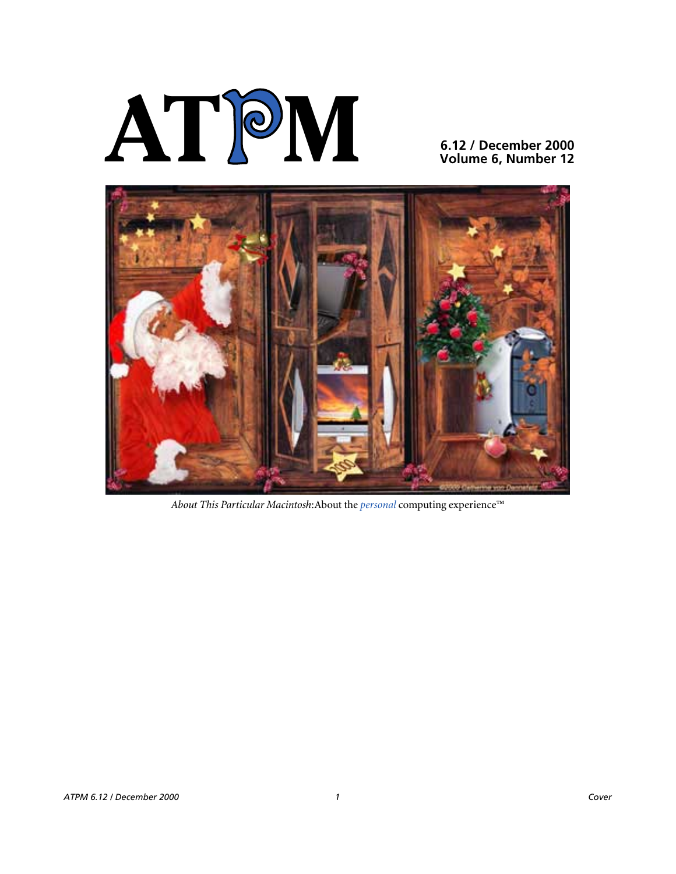

**6.12 / December 2000 Volume 6, Number 12**



*About This Particular Macintosh*:About the *personal* computing experience™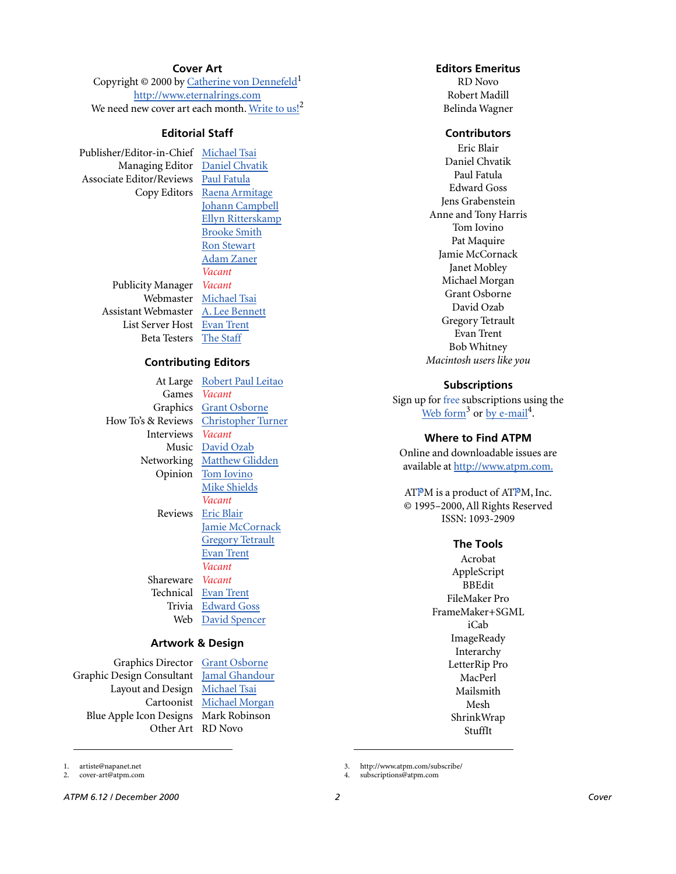#### **Cover Art**

Copyright © 2000 by [Catherine von Dennefeld](mailto:mailto:artiste@napanet.net)<sup>1</sup> <http://www.eternalrings.com> We need new cover art each month. [Write to us!](mailto:cover-art@atpm.com)<sup>2</sup>

#### **Editorial Staff**

Publisher/Editor-in-Chief [Michael Tsai](mailto:mtsai@atpm.com) Managing Editor [Daniel Chvatik](mailto:dchvatik@atpm.com) Associate Editor/Reviews [Paul Fatula](mailto:pfatula@atpm.com)

Copy Editors [Raena Armitage](mailto:rarmitage@atpm.com) [Johann Campbell](mailto:jcampbell@atpm.com) [Ellyn Ritterskamp](mailto:eritterskamp@atpm.com) [Brooke Smith](mailto:bsmith@atpm.com) [Ron Stewart](mailto:rstewart@atpm.com) [Adam Zaner](mailto:azaner@atpm.com) *Vacant* Publicity Manager *Vacant* Webmaster [Michael Tsai](mailto:mtsai@atpm.com) Assistant Webmaster [A. Lee Bennett](mailto:lbennett@atpm.com) List Server Host [Evan Trent](mailto:etrent@atpm.com) Beta Testers [The Staff](mailto:editor@atpm.com)

#### **Contributing Editors**

Games *Vacant* How To's & Reviews [Christopher Turner](mailto:cturner@atpm.com) Interviews *Vacant* Reviews [Eric Blair](mailto:eblair@atpm.com) Shareware *Vacant* Technical [Evan Trent](mailto:etrent@atpm.com)

At Large Robert Paul Leitao Graphics [Grant Osborne](mailto:gosborne@atpm.com) Music [David Ozab](mailto:dozab@atpm.com) Networking [Matthew Glidden](mailto:mglidden@atpm.com) Opinion [Tom Iovino](mailto:tiovino@atpm.com) [Mike Shields](mailto:mshields@atpm.com) *Vacant* [Jamie McCornack](mailto:jmccornack@atpm.com) [Gregory Tetrault](mailto:gtetrault@atpm.com) [Evan Trent](mailto:etrent@atpm.com) *Vacant* Trivia [Edward Goss](mailto:egoss@atpm.com) Web [David Spencer](mailto:dspencer@atpm.com)

#### **Artwork & Design**

Graphics Director [Grant Osborne](mailto:gosborne@atpm.com) Graphic Design Consultant [Jamal Ghandour](mailto:jghandour@atpm.com) Layout and Design [Michael Tsai](mailto:mtsai@atpm.com) Blue Apple Icon Designs Mark Robinson

Cartoonist [Michael Morgan](mailto:mmorgan@atpm.com) Other Art RD Novo

#### **Editors Emeritus**

RD Novo Robert Madill Belinda Wagner

#### **Contributors**

Eric Blair Daniel Chvatik Paul Fatula Edward Goss Jens Grabenstein Anne and Tony Harris Tom Iovino Pat Maquire Jamie McCornack Janet Mobley Michael Morgan Grant Osborne David Ozab Gregory Tetrault Evan Trent Bob Whitney *Macintosh users like you*

#### **Subscriptions**

Sign up for free subscriptions using the [Web form](http://www.atpm.com/subscribe/)<sup>3</sup> or [by e-mail](mailto:subscriptions@atpm.com)<sup>4</sup>.

#### **Where to Find ATPM**

Online and downloadable issues are available at [http://www.atpm.com.](http://www.atpm.com)

ATPM is a product of ATPM, Inc. © 1995–2000, All Rights Reserved ISSN: 1093-2909

#### **The Tools**

Acrobat AppleScript BBEdit FileMaker Pro FrameMaker+SGML iCab **ImageReady** Interarchy LetterRip Pro MacPerl Mailsmith Mesh ShrinkWrap StuffIt

3. http://www.atpm.com/subscribe/

*ATPM 6.12 / December 2000 2 Cover*

1. artiste@napanet.net 2. cover-art@atpm.com

<sup>4.</sup> subscriptions@atpm.com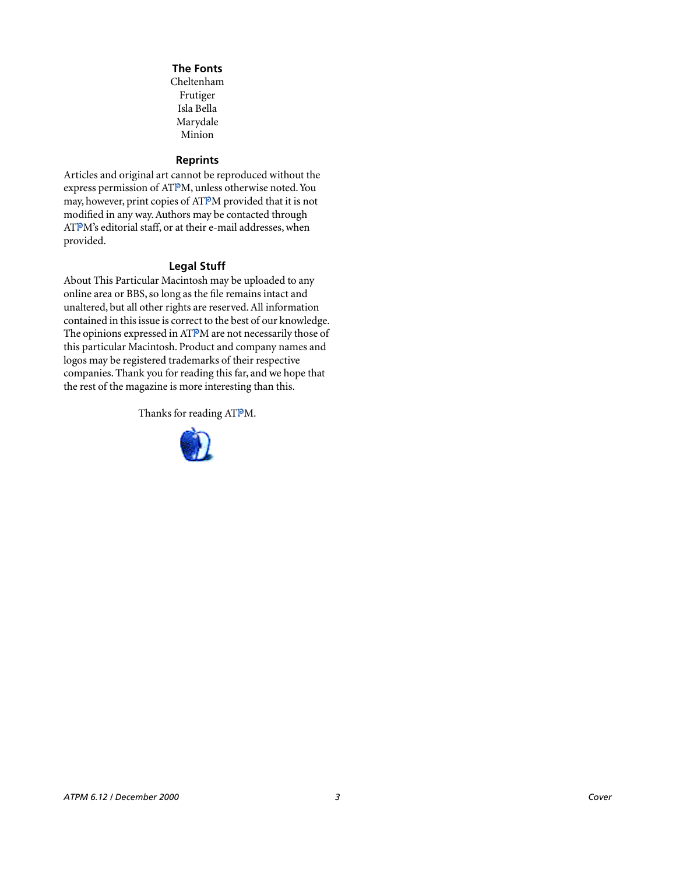#### **The Fonts**

Cheltenham Frutiger Isla Bella Marydale Minion

#### **Reprints**

Articles and original art cannot be reproduced without the express permission of ATPM, unless otherwise noted. You may, however, print copies of ATPM provided that it is not modified in any way. Authors may be contacted through ATPM's editorial staff, or at their e-mail addresses, when provided.

#### **Legal Stuff**

About This Particular Macintosh may be uploaded to any online area or BBS, so long as the file remains intact and unaltered, but all other rights are reserved. All information contained in this issue is correct to the best of our knowledge. The opinions expressed in ATPM are not necessarily those of this particular Macintosh. Product and company names and logos may be registered trademarks of their respective companies. Thank you for reading this far, and we hope that the rest of the magazine is more interesting than this.

Thanks for reading ATPM.

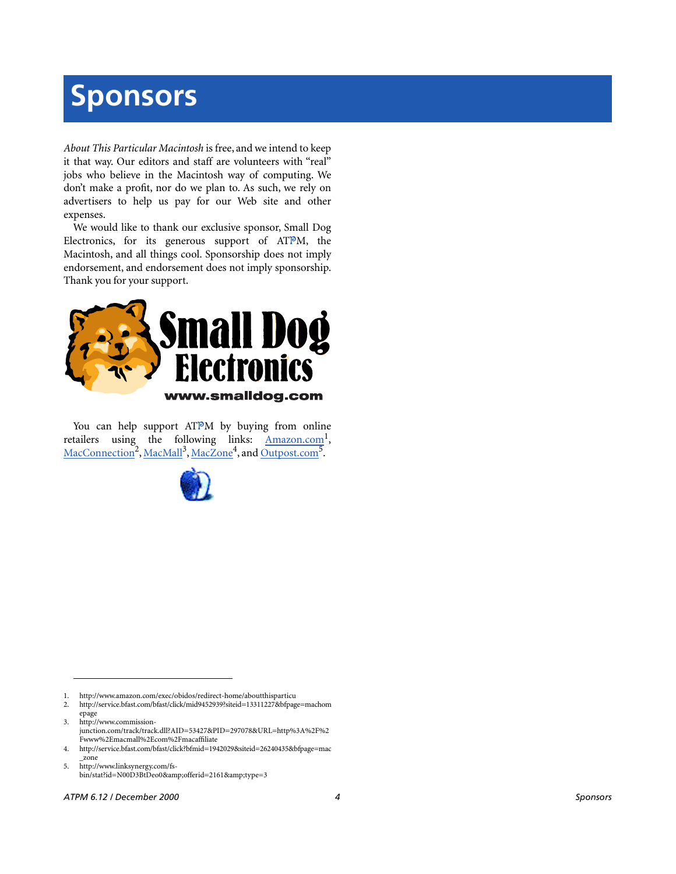# **Sponsors**

*About This Particular Macintosh* is free, and we intend to keep it that way. Our editors and staff are volunteers with "real" jobs who believe in the Macintosh way of computing. We don't make a profit, nor do we plan to. As such, we rely on advertisers to help us pay for our Web site and other expenses.

We would like to thank our exclusive sponsor, Small Dog Electronics, for its generous support of ATPM, the Macintosh, and all things cool. Sponsorship does not imply endorsement, and endorsement does not imply sponsorship. Thank you for your support.



You can help support ATPM by buying from online retailers using the following links: Amazon.com<sup>1</sup>, [MacConnection](http://service.bfast.com/bfast/click/mid9452939?siteid=13311227&bfpage=machomepage)<sup>2</sup>, [MacMall](http://www.commission-junction.com/track/track.dll?AID=53427&PID=297078&URL=http%3A%2F%2Fwww%2Emacmall%2Ecom%2Fmacaffiliate)<sup>3</sup>, [MacZone](http://service.bfast.com/bfast/click?bfmid=1942029&siteid=26240435&bfpage=mac_zone)<sup>4</sup>, and Outpost.com<sup>5</sup>.



1. http://www.amazon.com/exec/obidos/redirect-home/aboutthisparticu

2. http://service.bfast.com/bfast/click/mid9452939?siteid=13311227&bfpage=machom epage

3. http://www.commissionjunction.com/track/track.dll?AID=53427&PID=297078&URL=http%3A%2F%2 Fwww%2Emacmall%2Ecom%2Fmacaffiliate

4. http://service.bfast.com/bfast/click?bfmid=1942029&siteid=26240435&bfpage=mac \_zone

5. http://www.linksynergy.com/fsbin/stat?id=N00D3BtDeo0&offerid=2161&type=3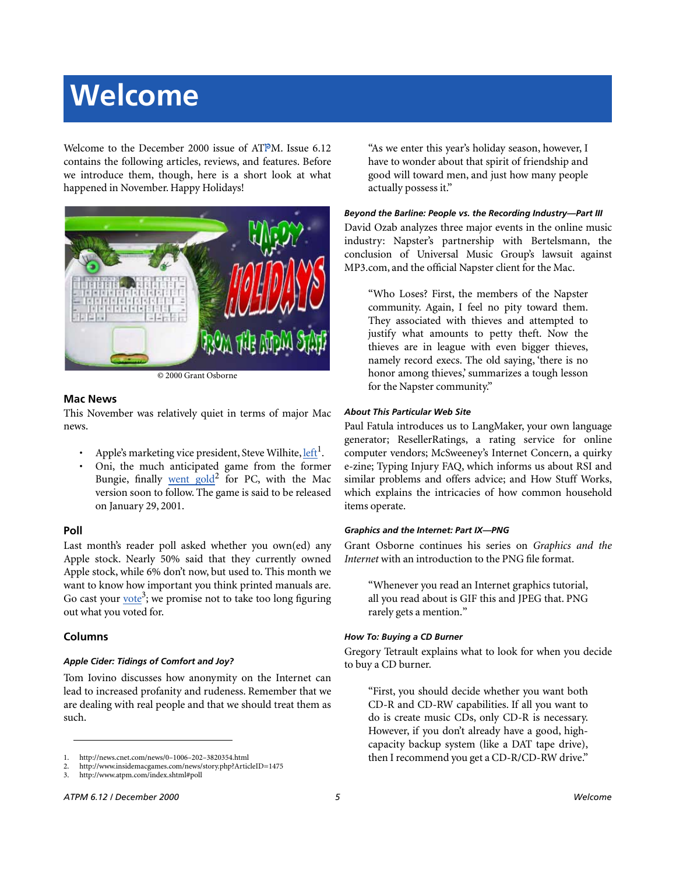# **Welcome**

Welcome to the December 2000 issue of ATPM. Issue 6.12 contains the following articles, reviews, and features. Before we introduce them, though, here is a short look at what happened in November. Happy Holidays!



© 2000 Grant Osborne

#### **Mac News**

This November was relatively quiet in terms of major Mac news.

- Apple's marketing vice president, Steve Wilhite, [left](http://news.cnet.com/news/0�1006�202�3820354.html)<sup>1</sup>.
- Oni, the much anticipated game from the former Bungie, finally went gold<sup>2</sup> for PC, with the Mac version soon to follow. The game is said to be released on January 29, 2001.

#### **Poll**

Last month's reader poll asked whether you own(ed) any Apple stock. Nearly 50% said that they currently owned Apple stock, while 6% don't now, but used to. This month we want to know how important you think printed manuals are. Go cast your  $\underline{\text{vote}}^3$  $\underline{\text{vote}}^3$  $\underline{\text{vote}}^3$ ; we promise not to take too long figuring out what you voted for.

#### **Columns**

#### *Apple Cider: Tidings of Comfort and Joy?*

Tom Iovino discusses how anonymity on the Internet can lead to increased profanity and rudeness. Remember that we are dealing with real people and that we should treat them as such.

"As we enter this year's holiday season, however, I have to wonder about that spirit of friendship and good will toward men, and just how many people actually possess it."

#### *Beyond the Barline: People vs. the Recording Industry—Part III*

David Ozab analyzes three major events in the online music industry: Napster's partnership with Bertelsmann, the conclusion of Universal Music Group's lawsuit against MP3.com, and the official Napster client for the Mac.

"Who Loses? First, the members of the Napster community. Again, I feel no pity toward them. They associated with thieves and attempted to justify what amounts to petty theft. Now the thieves are in league with even bigger thieves, namely record execs. The old saying, 'there is no honor among thieves,' summarizes a tough lesson for the Napster community."

#### *About This Particular Web Site*

Paul Fatula introduces us to LangMaker, your own language generator; ResellerRatings, a rating service for online computer vendors; McSweeney's Internet Concern, a quirky e-zine; Typing Injury FAQ, which informs us about RSI and similar problems and offers advice; and How Stuff Works, which explains the intricacies of how common household items operate.

#### *Graphics and the Internet: Part IX—PNG*

Grant Osborne continues his series on *Graphics and the Internet* with an introduction to the PNG file format.

"Whenever you read an Internet graphics tutorial, all you read about is GIF this and JPEG that. PNG rarely gets a mention."

#### *How To: Buying a CD Burner*

Gregory Tetrault explains what to look for when you decide to buy a CD burner.

"First, you should decide whether you want both CD-R and CD-RW capabilities. If all you want to do is create music CDs, only CD-R is necessary. However, if you don't already have a good, highcapacity backup system (like a DAT tape drive), then I recommend you get a CD-R/CD-RW drive."

<sup>1.</sup> http://news.cnet.com/news/0–1006–202–3820354.html

<sup>2.</sup> http://www.insidemacgames.com/news/story.php?ArticleID=1475<br>3. http://www.atpm.com/index.shtml#poll

<sup>3.</sup> http://www.atpm.com/index.shtml#poll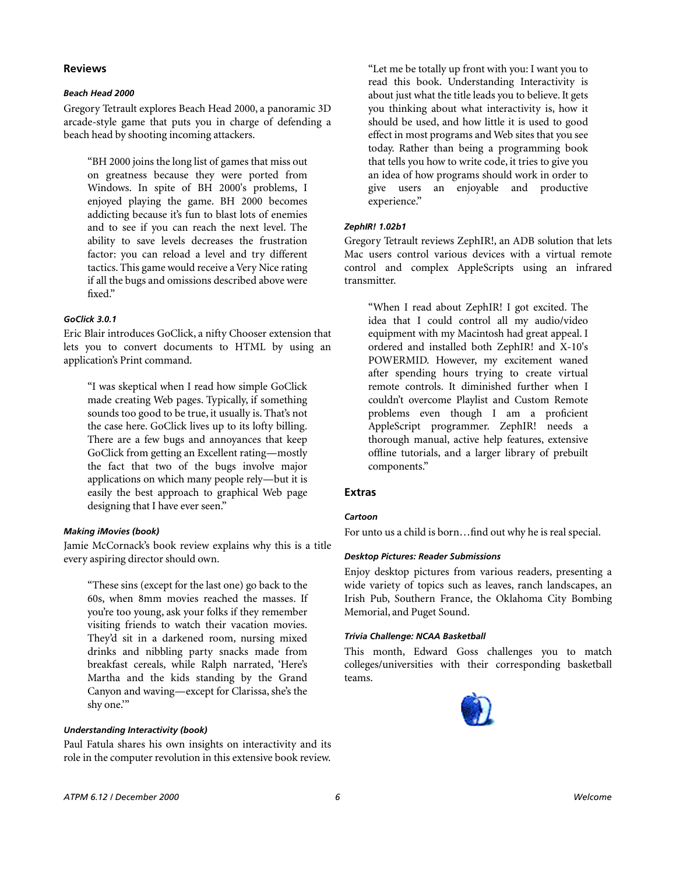#### **Reviews**

#### *Beach Head 2000*

Gregory Tetrault explores Beach Head 2000, a panoramic 3D arcade-style game that puts you in charge of defending a beach head by shooting incoming attackers.

"BH 2000 joins the long list of games that miss out on greatness because they were ported from Windows. In spite of BH 2000's problems, I enjoyed playing the game. BH 2000 becomes addicting because it's fun to blast lots of enemies and to see if you can reach the next level. The ability to save levels decreases the frustration factor: you can reload a level and try different tactics. This game would receive a Very Nice rating if all the bugs and omissions described above were fixed."

#### *GoClick 3.0.1*

Eric Blair introduces GoClick, a nifty Chooser extension that lets you to convert documents to HTML by using an application's Print command.

"I was skeptical when I read how simple GoClick made creating Web pages. Typically, if something sounds too good to be true, it usually is. That's not the case here. GoClick lives up to its lofty billing. There are a few bugs and annoyances that keep GoClick from getting an Excellent rating—mostly the fact that two of the bugs involve major applications on which many people rely—but it is easily the best approach to graphical Web page designing that I have ever seen."

#### *Making iMovies (book)*

Jamie McCornack's book review explains why this is a title every aspiring director should own.

"These sins (except for the last one) go back to the 60s, when 8mm movies reached the masses. If you're too young, ask your folks if they remember visiting friends to watch their vacation movies. They'd sit in a darkened room, nursing mixed drinks and nibbling party snacks made from breakfast cereals, while Ralph narrated, 'Here's Martha and the kids standing by the Grand Canyon and waving—except for Clarissa, she's the shy one.'"

#### *Understanding Interactivity (book)*

Paul Fatula shares his own insights on interactivity and its role in the computer revolution in this extensive book review. "Let me be totally up front with you: I want you to read this book. Understanding Interactivity is about just what the title leads you to believe. It gets you thinking about what interactivity is, how it should be used, and how little it is used to good effect in most programs and Web sites that you see today. Rather than being a programming book that tells you how to write code, it tries to give you an idea of how programs should work in order to give users an enjoyable and productive experience."

#### *ZephIR! 1.02b1*

Gregory Tetrault reviews ZephIR!, an ADB solution that lets Mac users control various devices with a virtual remote control and complex AppleScripts using an infrared transmitter.

"When I read about ZephIR! I got excited. The idea that I could control all my audio/video equipment with my Macintosh had great appeal. I ordered and installed both ZephIR! and X-10's POWERMID. However, my excitement waned after spending hours trying to create virtual remote controls. It diminished further when I couldn't overcome Playlist and Custom Remote problems even though I am a proficient AppleScript programmer. ZephIR! needs a thorough manual, active help features, extensive offline tutorials, and a larger library of prebuilt components."

#### **Extras**

#### *Cartoon*

For unto us a child is born…find out why he is real special.

#### *Desktop Pictures: Reader Submissions*

Enjoy desktop pictures from various readers, presenting a wide variety of topics such as leaves, ranch landscapes, an Irish Pub, Southern France, the Oklahoma City Bombing Memorial, and Puget Sound.

#### *Trivia Challenge: NCAA Basketball*

This month, Edward Goss challenges you to match colleges/universities with their corresponding basketball teams.

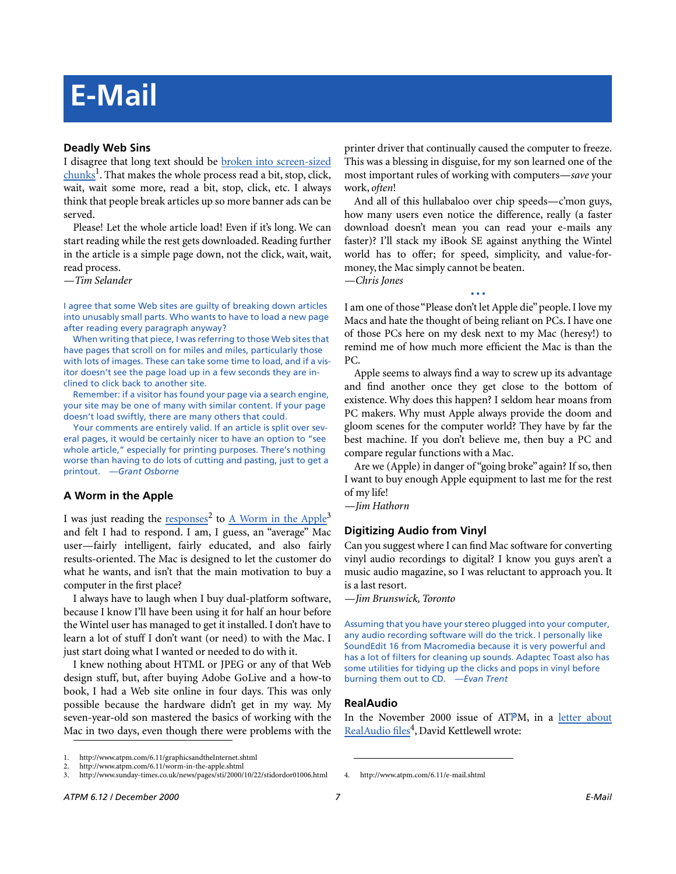# **E-Mail**

#### **Deadly Web Sins**

I disagree that long text should be [broken into screen-sized](http://www.atpm.com/6.11/graphicsandtheInternet.shtml) [chunks](http://www.atpm.com/6.11/graphicsandtheInternet.shtml)<sup>1</sup>. That makes the whole process read a bit, stop, click, wait, wait some more, read a bit, stop, click, etc. I always think that people break articles up so more banner ads can be served.

Please! Let the whole article load! Even if it's long. We can start reading while the rest gets downloaded. Reading further in the article is a simple page down, not the click, wait, wait, read process.

*—Tim Selander*

I agree that some Web sites are guilty of breaking down articles into unusably small parts. Who wants to have to load a new page after reading every paragraph anyway?

When writing that piece, I was referring to those Web sites that have pages that scroll on for miles and miles, particularly those with lots of images. These can take some time to load, and if a visitor doesn't see the page load up in a few seconds they are inclined to click back to another site.

Remember: if a visitor has found your page via a search engine, your site may be one of many with similar content. If your page doesn't load swiftly, there are many others that could.

Your comments are entirely valid. If an article is split over several pages, it would be certainly nicer to have an option to "see whole article," especially for printing purposes. There's nothing worse than having to do lots of cutting and pasting, just to get a printout. *—Grant Osborne*

#### **A Worm in the Apple**

I was just reading the [responses](http://www.atpm.com/6.11/worm-in-the-apple.shtml)<sup>2</sup> to [A Worm in the Apple](http://www.sunday-times.co.uk/news/pages/sti/2000/10/22/stidordor01006.html)<sup>3</sup> and felt I had to respond. I am, I guess, an "average" Mac user—fairly intelligent, fairly educated, and also fairly results-oriented. The Mac is designed to let the customer do what he wants, and isn't that the main motivation to buy a computer in the first place?

I always have to laugh when I buy dual-platform software, because I know I'll have been using it for half an hour before the Wintel user has managed to get it installed. I don't have to learn a lot of stuff I don't want (or need) to with the Mac. I just start doing what I wanted or needed to do with it.

I knew nothing about HTML or JPEG or any of that Web design stuff, but, after buying Adobe GoLive and a how-to book, I had a Web site online in four days. This was only possible because the hardware didn't get in my way. My seven-year-old son mastered the basics of working with the Mac in two days, even though there were problems with the

printer driver that continually caused the computer to freeze. This was a blessing in disguise, for my son learned one of the most important rules of working with computers—*save* your work, *often*!

And all of this hullabaloo over chip speeds—c'mon guys, how many users even notice the difference, really (a faster download doesn't mean you can read your e-mails any faster)? I'll stack my iBook SE against anything the Wintel world has to offer; for speed, simplicity, and value-formoney, the Mac simply cannot be beaten.

*—Chris Jones*

I am one of those "Please don't let Apple die" people. I love my Macs and hate the thought of being reliant on PCs. I have one of those PCs here on my desk next to my Mac (heresy!) to remind me of how much more efficient the Mac is than the PC.

**• • •**

Apple seems to always find a way to screw up its advantage and find another once they get close to the bottom of existence. Why does this happen? I seldom hear moans from PC makers. Why must Apple always provide the doom and gloom scenes for the computer world? They have by far the best machine. If you don't believe me, then buy a PC and compare regular functions with a Mac.

Are we (Apple) in danger of "going broke" again? If so, then I want to buy enough Apple equipment to last me for the rest of my life!

*—Jim Hathorn*

#### **Digitizing Audio from Vinyl**

Can you suggest where I can find Mac software for converting vinyl audio recordings to digital? I know you guys aren't a music audio magazine, so I was reluctant to approach you. It is a last resort.

*—Jim Brunswick, Toronto*

Assuming that you have your stereo plugged into your computer, any audio recording software will do the trick. I personally like SoundEdit 16 from Macromedia because it is very powerful and has a lot of filters for cleaning up sounds. Adaptec Toast also has some utilities for tidying up the clicks and pops in vinyl before burning them out to CD. *—Evan Trent*

#### **RealAudio**

In the November 2000 issue of ATPM, in a [letter about](http://www.atpm.com/6.11/e-mail.shtml) [RealAudio files](http://www.atpm.com/6.11/e-mail.shtml)<sup>4</sup>, David Kettlewell wrote:

<sup>1.</sup> http://www.atpm.com/6.11/graphicsandtheInternet.shtml

<sup>2.</sup> http://www.atpm.com/6.11/worm-in-the-apple.shtml<br>3. http://www.sunday-times.co.uk/news/pages/sti/2000/

<sup>3.</sup> http://www.sunday-times.co.uk/news/pages/sti/2000/10/22/stidordor01006.html 4. http://www.atpm.com/6.11/e-mail.shtml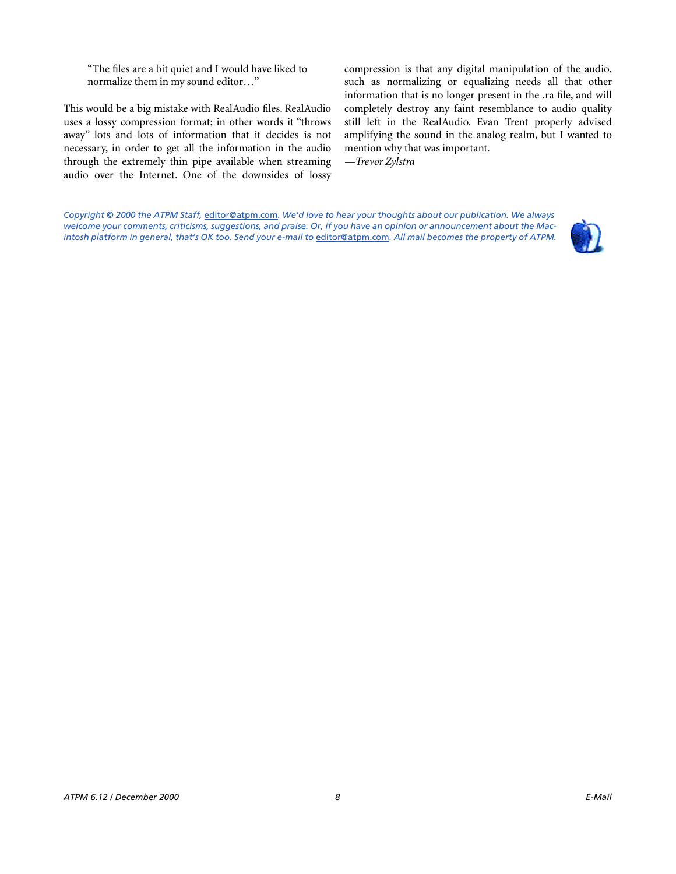"The files are a bit quiet and I would have liked to normalize them in my sound editor…"

This would be a big mistake with RealAudio files. RealAudio uses a lossy compression format; in other words it "throws away" lots and lots of information that it decides is not necessary, in order to get all the information in the audio through the extremely thin pipe available when streaming audio over the Internet. One of the downsides of lossy

compression is that any digital manipulation of the audio, such as normalizing or equalizing needs all that other information that is no longer present in the .ra file, and will completely destroy any faint resemblance to audio quality still left in the RealAudio. Evan Trent properly advised amplifying the sound in the analog realm, but I wanted to mention why that was important.

*—Trevor Zylstra*

*Copyright © 2000 the ATPM Staff,* [editor@atpm.com](mailto:editor@atpm.com)*. We'd love to hear your thoughts about our publication. We always welcome your comments, criticisms, suggestions, and praise. Or, if you have an opinion or announcement about the Macintosh platform in general, that's OK too. Send your e-mail to* [editor@atpm.com](mailto:editor@atpm.com)*. All mail becomes the property of ATPM.*

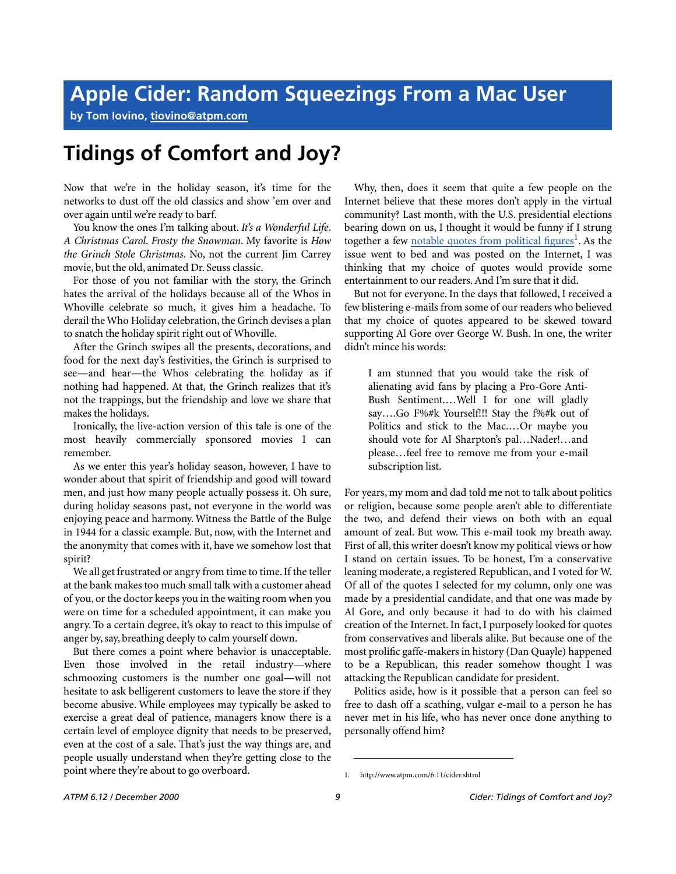**by Tom Iovino, [tiovino@atpm.com](mailto:tiovino@atpm.com)**

# **Tidings of Comfort and Joy?**

Now that we're in the holiday season, it's time for the networks to dust off the old classics and show 'em over and over again until we're ready to barf.

You know the ones I'm talking about. *It's a Wonderful Life*. *A Christmas Carol*. *Frosty the Snowman*. My favorite is *How the Grinch Stole Christmas*. No, not the current Jim Carrey movie, but the old, animated Dr. Seuss classic.

For those of you not familiar with the story, the Grinch hates the arrival of the holidays because all of the Whos in Whoville celebrate so much, it gives him a headache. To derail the Who Holiday celebration, the Grinch devises a plan to snatch the holiday spirit right out of Whoville.

After the Grinch swipes all the presents, decorations, and food for the next day's festivities, the Grinch is surprised to see—and hear—the Whos celebrating the holiday as if nothing had happened. At that, the Grinch realizes that it's not the trappings, but the friendship and love we share that makes the holidays.

Ironically, the live-action version of this tale is one of the most heavily commercially sponsored movies I can remember.

As we enter this year's holiday season, however, I have to wonder about that spirit of friendship and good will toward men, and just how many people actually possess it. Oh sure, during holiday seasons past, not everyone in the world was enjoying peace and harmony. Witness the Battle of the Bulge in 1944 for a classic example. But, now, with the Internet and the anonymity that comes with it, have we somehow lost that spirit?

We all get frustrated or angry from time to time. If the teller at the bank makes too much small talk with a customer ahead of you, or the doctor keeps you in the waiting room when you were on time for a scheduled appointment, it can make you angry. To a certain degree, it's okay to react to this impulse of anger by, say, breathing deeply to calm yourself down.

But there comes a point where behavior is unacceptable. Even those involved in the retail industry—where schmoozing customers is the number one goal—will not hesitate to ask belligerent customers to leave the store if they become abusive. While employees may typically be asked to exercise a great deal of patience, managers know there is a certain level of employee dignity that needs to be preserved, even at the cost of a sale. That's just the way things are, and people usually understand when they're getting close to the point where they're about to go overboard.

Why, then, does it seem that quite a few people on the Internet believe that these mores don't apply in the virtual community? Last month, with the U.S. presidential elections bearing down on us, I thought it would be funny if I strung together a few [notable quotes from political figures](http://www.atpm.com/6.11/cider.shtml)<sup>1</sup>. As the issue went to bed and was posted on the Internet, I was thinking that my choice of quotes would provide some entertainment to our readers. And I'm sure that it did.

But not for everyone. In the days that followed, I received a few blistering e-mails from some of our readers who believed that my choice of quotes appeared to be skewed toward supporting Al Gore over George W. Bush. In one, the writer didn't mince his words:

I am stunned that you would take the risk of alienating avid fans by placing a Pro-Gore Anti-Bush Sentiment.…Well I for one will gladly say....Go F%#k Yourself!!! Stay the f%#k out of Politics and stick to the Mac.…Or maybe you should vote for Al Sharpton's pal…Nader!…and please…feel free to remove me from your e-mail subscription list.

For years, my mom and dad told me not to talk about politics or religion, because some people aren't able to differentiate the two, and defend their views on both with an equal amount of zeal. But wow. This e-mail took my breath away. First of all, this writer doesn't know my political views or how I stand on certain issues. To be honest, I'm a conservative leaning moderate, a registered Republican, and I voted for W. Of all of the quotes I selected for my column, only one was made by a presidential candidate, and that one was made by Al Gore, and only because it had to do with his claimed creation of the Internet. In fact, I purposely looked for quotes from conservatives and liberals alike. But because one of the most prolific gaffe-makers in history (Dan Quayle) happened to be a Republican, this reader somehow thought I was attacking the Republican candidate for president.

Politics aside, how is it possible that a person can feel so free to dash off a scathing, vulgar e-mail to a person he has never met in his life, who has never once done anything to personally offend him?

<sup>1.</sup> http://www.atpm.com/6.11/cider.shtml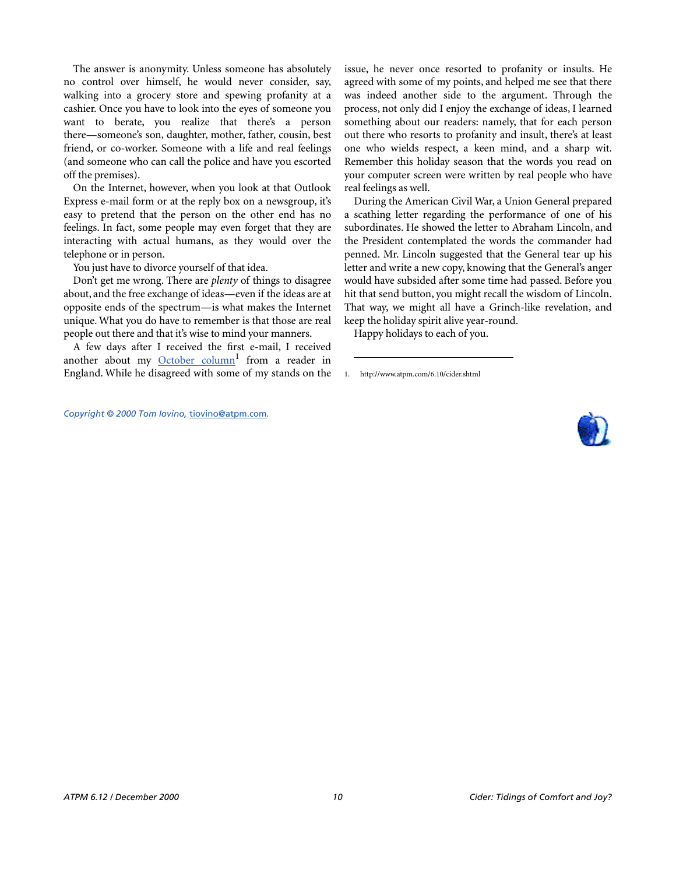The answer is anonymity. Unless someone has absolutely no control over himself, he would never consider, say, walking into a grocery store and spewing profanity at a cashier. Once you have to look into the eyes of someone you want to berate, you realize that there's a person there—someone's son, daughter, mother, father, cousin, best friend, or co-worker. Someone with a life and real feelings (and someone who can call the police and have you escorted off the premises).

On the Internet, however, when you look at that Outlook Express e-mail form or at the reply box on a newsgroup, it's easy to pretend that the person on the other end has no feelings. In fact, some people may even forget that they are interacting with actual humans, as they would over the telephone or in person.

You just have to divorce yourself of that idea.

*Copyright © 2000 Tom Iovino,* [tiovino@atpm.com](mailto:tiovino@atpm.com)*.*

Don't get me wrong. There are *plenty* of things to disagree about, and the free exchange of ideas—even if the ideas are at opposite ends of the spectrum—is what makes the Internet unique. What you do have to remember is that those are real people out there and that it's wise to mind your manners.

A few days after I received the first e-mail, I received another about my [October column](http://www.atpm.com/6.10/cider.shtml)<sup>1</sup> from a reader in England. While he disagreed with some of my stands on the

issue, he never once resorted to profanity or insults. He agreed with some of my points, and helped me see that there was indeed another side to the argument. Through the process, not only did I enjoy the exchange of ideas, I learned something about our readers: namely, that for each person out there who resorts to profanity and insult, there's at least one who wields respect, a keen mind, and a sharp wit. Remember this holiday season that the words you read on your computer screen were written by real people who have real feelings as well.

During the American Civil War, a Union General prepared a scathing letter regarding the performance of one of his subordinates. He showed the letter to Abraham Lincoln, and the President contemplated the words the commander had penned. Mr. Lincoln suggested that the General tear up his letter and write a new copy, knowing that the General's anger would have subsided after some time had passed. Before you hit that send button, you might recall the wisdom of Lincoln. That way, we might all have a Grinch-like revelation, and keep the holiday spirit alive year-round.

Happy holidays to each of you.

<sup>1.</sup> http://www.atpm.com/6.10/cider.shtml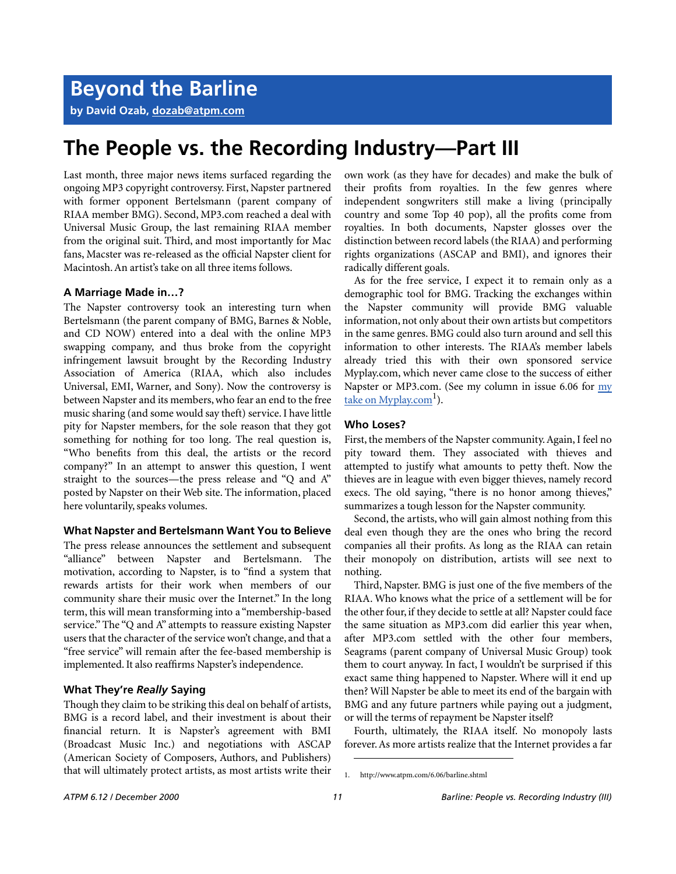**by David Ozab, [dozab@atpm.com](mailto:dozab@atpm.com)**

## **The People vs. the Recording Industry—Part III**

Last month, three major news items surfaced regarding the ongoing MP3 copyright controversy. First, Napster partnered with former opponent Bertelsmann (parent company of RIAA member BMG). Second, MP3.com reached a deal with Universal Music Group, the last remaining RIAA member from the original suit. Third, and most importantly for Mac fans, Macster was re-released as the official Napster client for Macintosh. An artist's take on all three items follows.

#### **A Marriage Made in…?**

The Napster controversy took an interesting turn when Bertelsmann (the parent company of BMG, Barnes & Noble, and CD NOW) entered into a deal with the online MP3 swapping company, and thus broke from the copyright infringement lawsuit brought by the Recording Industry Association of America (RIAA, which also includes Universal, EMI, Warner, and Sony). Now the controversy is between Napster and its members, who fear an end to the free music sharing (and some would say theft) service. I have little pity for Napster members, for the sole reason that they got something for nothing for too long. The real question is, "Who benefits from this deal, the artists or the record company?" In an attempt to answer this question, I went straight to the sources—the press release and "Q and A" posted by Napster on their Web site. The information, placed here voluntarily, speaks volumes.

#### **What Napster and Bertelsmann Want You to Believe**

The press release announces the settlement and subsequent "alliance" between Napster and Bertelsmann. The motivation, according to Napster, is to "find a system that rewards artists for their work when members of our community share their music over the Internet." In the long term, this will mean transforming into a "membership-based service." The "Q and A" attempts to reassure existing Napster users that the character of the service won't change, and that a "free service" will remain after the fee-based membership is implemented. It also reaffirms Napster's independence.

#### **What They're** *Really* **Saying**

Though they claim to be striking this deal on behalf of artists, BMG is a record label, and their investment is about their financial return. It is Napster's agreement with BMI (Broadcast Music Inc.) and negotiations with ASCAP (American Society of Composers, Authors, and Publishers) that will ultimately protect artists, as most artists write their

own work (as they have for decades) and make the bulk of their profits from royalties. In the few genres where independent songwriters still make a living (principally country and some Top 40 pop), all the profits come from royalties. In both documents, Napster glosses over the distinction between record labels (the RIAA) and performing rights organizations (ASCAP and BMI), and ignores their radically different goals.

As for the free service, I expect it to remain only as a demographic tool for BMG. Tracking the exchanges within the Napster community will provide BMG valuable information, not only about their own artists but competitors in the same genres. BMG could also turn around and sell this information to other interests. The RIAA's member labels already tried this with their own sponsored service Myplay.com, which never came close to the success of either Napster or MP3.com. (See my column in issue 6.06 for [my](http://www.atpm.com/6.06/barline.shtml) take on Myplay.com<sup>1</sup>).

#### **Who Loses?**

First, the members of the Napster community. Again, I feel no pity toward them. They associated with thieves and attempted to justify what amounts to petty theft. Now the thieves are in league with even bigger thieves, namely record execs. The old saying, "there is no honor among thieves," summarizes a tough lesson for the Napster community.

Second, the artists, who will gain almost nothing from this deal even though they are the ones who bring the record companies all their profits. As long as the RIAA can retain their monopoly on distribution, artists will see next to nothing.

Third, Napster. BMG is just one of the five members of the RIAA. Who knows what the price of a settlement will be for the other four, if they decide to settle at all? Napster could face the same situation as MP3.com did earlier this year when, after MP3.com settled with the other four members, Seagrams (parent company of Universal Music Group) took them to court anyway. In fact, I wouldn't be surprised if this exact same thing happened to Napster. Where will it end up then? Will Napster be able to meet its end of the bargain with BMG and any future partners while paying out a judgment, or will the terms of repayment be Napster itself?

Fourth, ultimately, the RIAA itself. No monopoly lasts forever. As more artists realize that the Internet provides a far

<sup>1.</sup> http://www.atpm.com/6.06/barline.shtml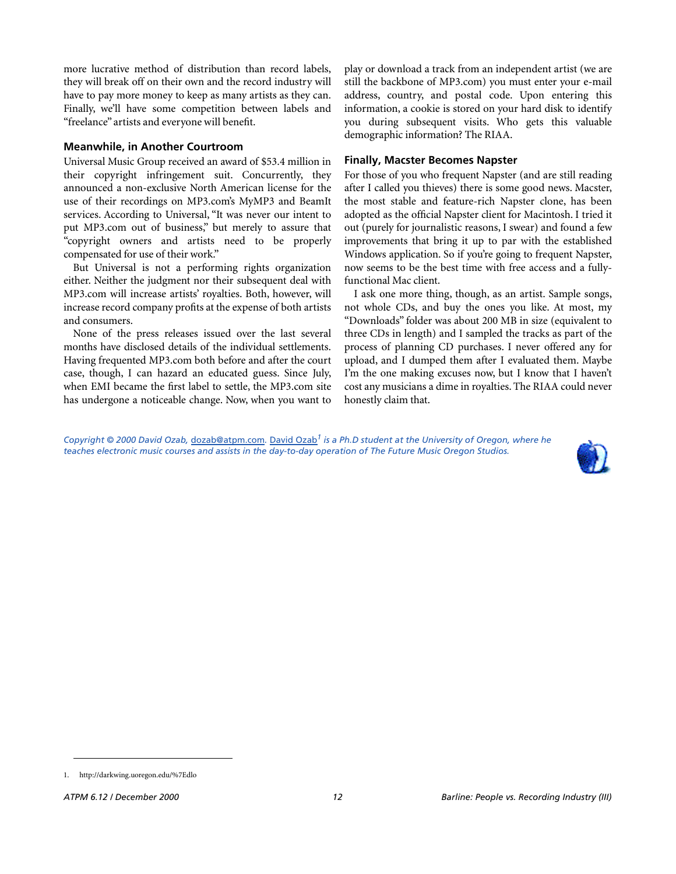more lucrative method of distribution than record labels, they will break off on their own and the record industry will have to pay more money to keep as many artists as they can. Finally, we'll have some competition between labels and "freelance" artists and everyone will benefit.

#### **Meanwhile, in Another Courtroom**

Universal Music Group received an award of \$53.4 million in their copyright infringement suit. Concurrently, they announced a non-exclusive North American license for the use of their recordings on MP3.com's MyMP3 and BeamIt services. According to Universal, "It was never our intent to put MP3.com out of business," but merely to assure that "copyright owners and artists need to be properly compensated for use of their work."

But Universal is not a performing rights organization either. Neither the judgment nor their subsequent deal with MP3.com will increase artists' royalties. Both, however, will increase record company profits at the expense of both artists and consumers.

None of the press releases issued over the last several months have disclosed details of the individual settlements. Having frequented MP3.com both before and after the court case, though, I can hazard an educated guess. Since July, when EMI became the first label to settle, the MP3.com site has undergone a noticeable change. Now, when you want to

play or download a track from an independent artist (we are still the backbone of MP3.com) you must enter your e-mail address, country, and postal code. Upon entering this information, a cookie is stored on your hard disk to identify you during subsequent visits. Who gets this valuable demographic information? The RIAA.

#### **Finally, Macster Becomes Napster**

For those of you who frequent Napster (and are still reading after I called you thieves) there is some good news. Macster, the most stable and feature-rich Napster clone, has been adopted as the official Napster client for Macintosh. I tried it out (purely for journalistic reasons, I swear) and found a few improvements that bring it up to par with the established Windows application. So if you're going to frequent Napster, now seems to be the best time with free access and a fullyfunctional Mac client.

I ask one more thing, though, as an artist. Sample songs, not whole CDs, and buy the ones you like. At most, my "Downloads" folder was about 200 MB in size (equivalent to three CDs in length) and I sampled the tracks as part of the process of planning CD purchases. I never offered any for upload, and I dumped them after I evaluated them. Maybe I'm the one making excuses now, but I know that I haven't cost any musicians a dime in royalties. The RIAA could never honestly claim that.

*Copyright © 2000 David Ozab,* [dozab@atpm.com](mailto:dozab@atpm.com)*.* [David Ozab](http://darkwing.uoregon.edu/%7Edlo)*1 is a Ph.D student at the University of Oregon, where he teaches electronic music courses and assists in the day-to-day operation of The Future Music Oregon Studios.*



<sup>1.</sup> http://darkwing.uoregon.edu/%7Edlo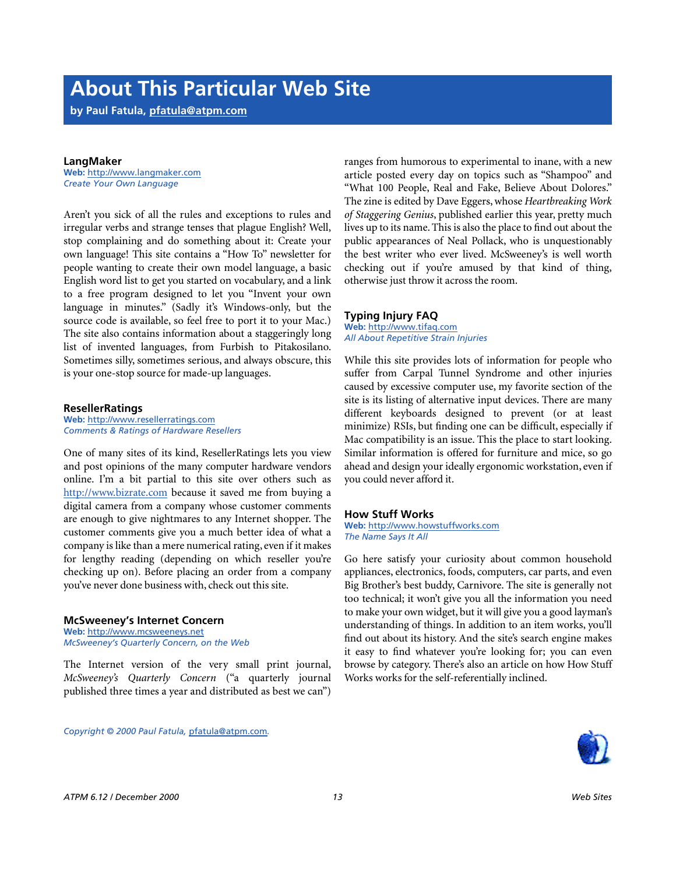**by Paul Fatula, [pfatula@atpm.com](mailto:pfatula@atpm.com)**

#### **LangMaker**

**Web:** <http://www.langmaker.com> *Create Your Own Language*

Aren't you sick of all the rules and exceptions to rules and irregular verbs and strange tenses that plague English? Well, stop complaining and do something about it: Create your own language! This site contains a "How To" newsletter for people wanting to create their own model language, a basic English word list to get you started on vocabulary, and a link to a free program designed to let you "Invent your own language in minutes." (Sadly it's Windows-only, but the source code is available, so feel free to port it to your Mac.) The site also contains information about a staggeringly long list of invented languages, from Furbish to Pitakosilano. Sometimes silly, sometimes serious, and always obscure, this is your one-stop source for made-up languages.

#### **ResellerRatings**

**Web:** <http://www.resellerratings.com> *Comments & Ratings of Hardware Resellers*

One of many sites of its kind, ResellerRatings lets you view and post opinions of the many computer hardware vendors online. I'm a bit partial to this site over others such as <http://www.bizrate.com>because it saved me from buying a digital camera from a company whose customer comments are enough to give nightmares to any Internet shopper. The customer comments give you a much better idea of what a company is like than a mere numerical rating, even if it makes for lengthy reading (depending on which reseller you're checking up on). Before placing an order from a company you've never done business with, check out this site.

#### **McSweeney's Internet Concern**

**Web:** <http://www.mcsweeneys.net> *McSweeney's Quarterly Concern, on the Web*

The Internet version of the very small print journal, *McSweeney's Quarterly Concern* ("a quarterly journal published three times a year and distributed as best we can")

*Copyright © 2000 Paul Fatula,* [pfatula@atpm.com](mailto:pfatula@atpm.com)*.*

ranges from humorous to experimental to inane, with a new article posted every day on topics such as "Shampoo" and "What 100 People, Real and Fake, Believe About Dolores." The zine is edited by Dave Eggers, whose *Heartbreaking Work of Staggering Genius*, published earlier this year, pretty much lives up to its name. This is also the place to find out about the public appearances of Neal Pollack, who is unquestionably the best writer who ever lived. McSweeney's is well worth checking out if you're amused by that kind of thing, otherwise just throw it across the room.

#### **Typing Injury FAQ**

**Web:** <http://www.tifaq.com> *All About Repetitive Strain Injuries*

While this site provides lots of information for people who suffer from Carpal Tunnel Syndrome and other injuries caused by excessive computer use, my favorite section of the site is its listing of alternative input devices. There are many different keyboards designed to prevent (or at least minimize) RSIs, but finding one can be difficult, especially if Mac compatibility is an issue. This the place to start looking. Similar information is offered for furniture and mice, so go ahead and design your ideally ergonomic workstation, even if you could never afford it.

#### **How Stuff Works**

**Web:** <http://www.howstuffworks.com> *The Name Says It All*

Go here satisfy your curiosity about common household appliances, electronics, foods, computers, car parts, and even Big Brother's best buddy, Carnivore. The site is generally not too technical; it won't give you all the information you need to make your own widget, but it will give you a good layman's understanding of things. In addition to an item works, you'll find out about its history. And the site's search engine makes it easy to find whatever you're looking for; you can even browse by category. There's also an article on how How Stuff Works works for the self-referentially inclined.

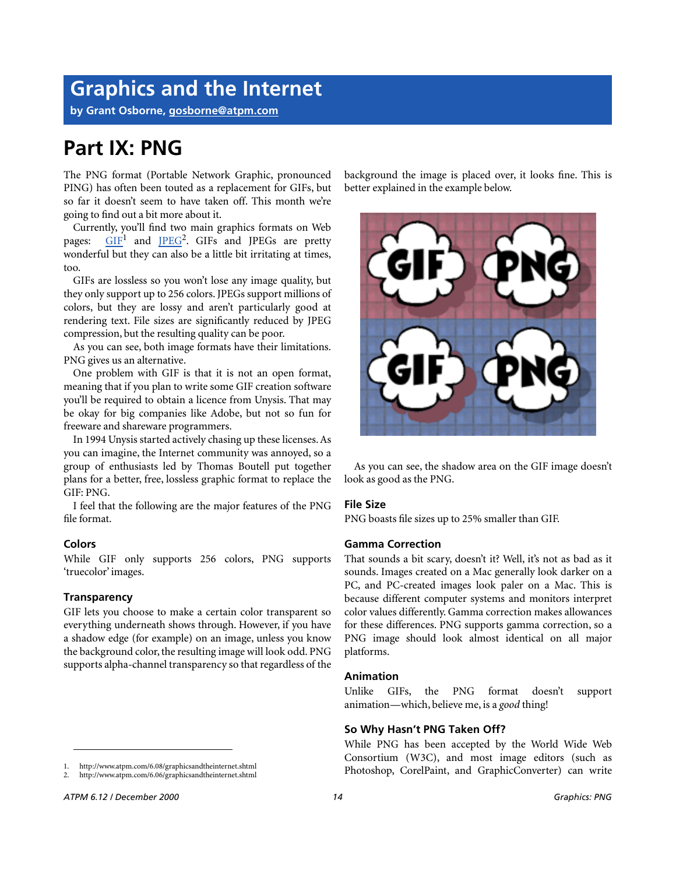## **Graphics and the Internet**

**by Grant Osborne, [gosborne@atpm.com](mailto:gosborne@atpm.com)**

### **Part IX: PNG**

The PNG format (Portable Network Graphic, pronounced PING) has often been touted as a replacement for GIFs, but so far it doesn't seem to have taken off. This month we're going to find out a bit more about it.

Currently, you'll find two main graphics formats on Web pages:  $\frac{GIF}{I}$  $\frac{GIF}{I}$  $\frac{GIF}{I}$  and  $\frac{IPEG^2}{I}$ . GIFs and JPEGs are pretty wonderful but they can also be a little bit irritating at times, too.

GIFs are lossless so you won't lose any image quality, but they only support up to 256 colors. JPEGs support millions of colors, but they are lossy and aren't particularly good at rendering text. File sizes are significantly reduced by JPEG compression, but the resulting quality can be poor.

As you can see, both image formats have their limitations. PNG gives us an alternative.

One problem with GIF is that it is not an open format, meaning that if you plan to write some GIF creation software you'll be required to obtain a licence from Unysis. That may be okay for big companies like Adobe, but not so fun for freeware and shareware programmers.

In 1994 Unysis started actively chasing up these licenses. As you can imagine, the Internet community was annoyed, so a group of enthusiasts led by Thomas Boutell put together plans for a better, free, lossless graphic format to replace the GIF: PNG.

I feel that the following are the major features of the PNG file format.

#### **Colors**

While GIF only supports 256 colors, PNG supports 'truecolor' images.

#### **Transparency**

GIF lets you choose to make a certain color transparent so everything underneath shows through. However, if you have a shadow edge (for example) on an image, unless you know the background color, the resulting image will look odd. PNG supports alpha-channel transparency so that regardless of the

1. http://www.atpm.com/6.08/graphicsandtheinternet.shtml

background the image is placed over, it looks fine. This is better explained in the example below.



As you can see, the shadow area on the GIF image doesn't look as good as the PNG.

#### **File Size**

PNG boasts file sizes up to 25% smaller than GIF.

#### **Gamma Correction**

That sounds a bit scary, doesn't it? Well, it's not as bad as it sounds. Images created on a Mac generally look darker on a PC, and PC-created images look paler on a Mac. This is because different computer systems and monitors interpret color values differently. Gamma correction makes allowances for these differences. PNG supports gamma correction, so a PNG image should look almost identical on all major platforms.

#### **Animation**

Unlike GIFs, the PNG format doesn't support animation—which, believe me, is a *good* thing!

#### **So Why Hasn't PNG Taken Off?**

While PNG has been accepted by the World Wide Web Consortium (W3C), and most image editors (such as Photoshop, CorelPaint, and GraphicConverter) can write

<sup>2.</sup> http://www.atpm.com/6.06/graphicsandtheinternet.shtml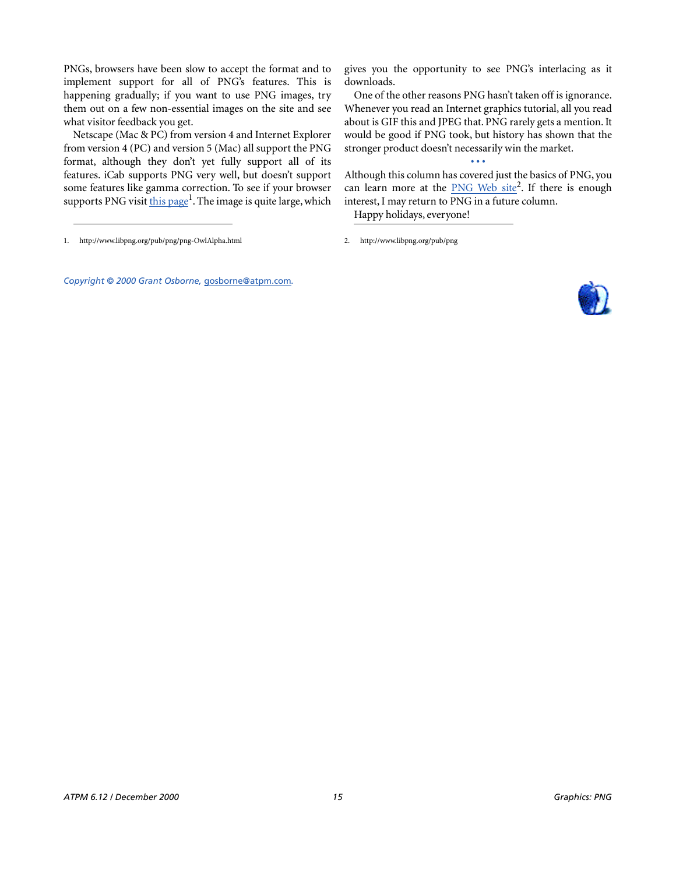PNGs, browsers have been slow to accept the format and to implement support for all of PNG's features. This is happening gradually; if you want to use PNG images, try them out on a few non-essential images on the site and see what visitor feedback you get.

Netscape (Mac & PC) from version 4 and Internet Explorer from version 4 (PC) and version 5 (Mac) all support the PNG format, although they don't yet fully support all of its features. iCab supports PNG very well, but doesn't support some features like gamma correction. To see if your browser supports PNG visit this page<sup>1</sup>. The image is quite large, which

*Copyright © 2000 Grant Osborne,* [gosborne@atpm.com](mailto:gosborne@atpm.com)*.*

gives you the opportunity to see PNG's interlacing as it downloads.

One of the other reasons PNG hasn't taken off is ignorance. Whenever you read an Internet graphics tutorial, all you read about is GIF this and JPEG that. PNG rarely gets a mention. It would be good if PNG took, but history has shown that the stronger product doesn't necessarily win the market.

**• • •** Although this column has covered just the basics of PNG, you can learn more at the **[PNG Web site](http://www.libpng.org/pub/png)<sup>2</sup></u>.** If there is enough interest, I may return to PNG in a future column. Happy holidays, everyone!



<sup>1.</sup> http://www.libpng.org/pub/png/png-OwlAlpha.html 2. http://www.libpng.org/pub/png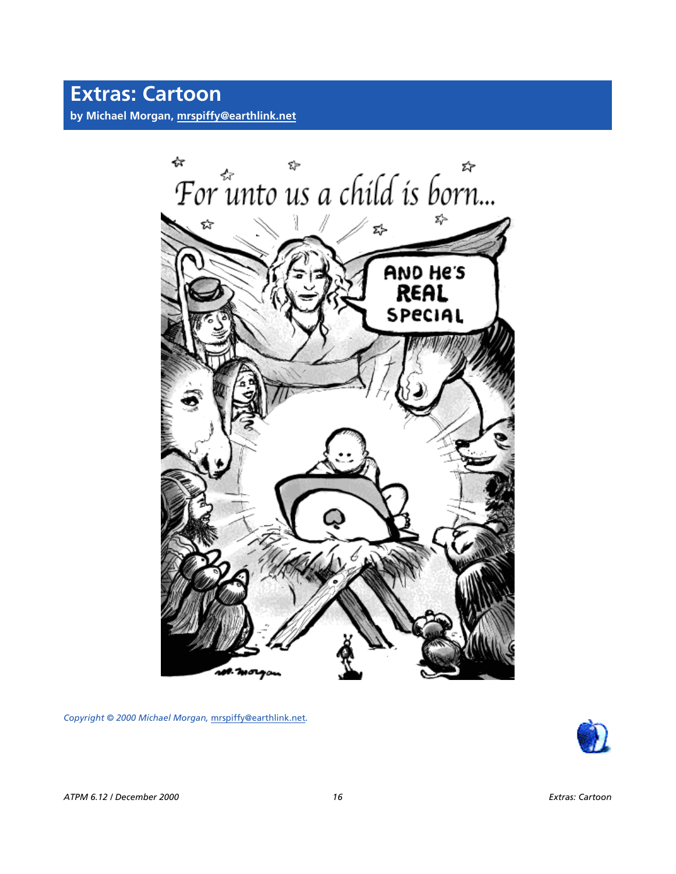

*Copyright © 2000 Michael Morgan,* [mrspiffy@earthlink.net](mailto:mrspiffy@earthlink.net)*.*

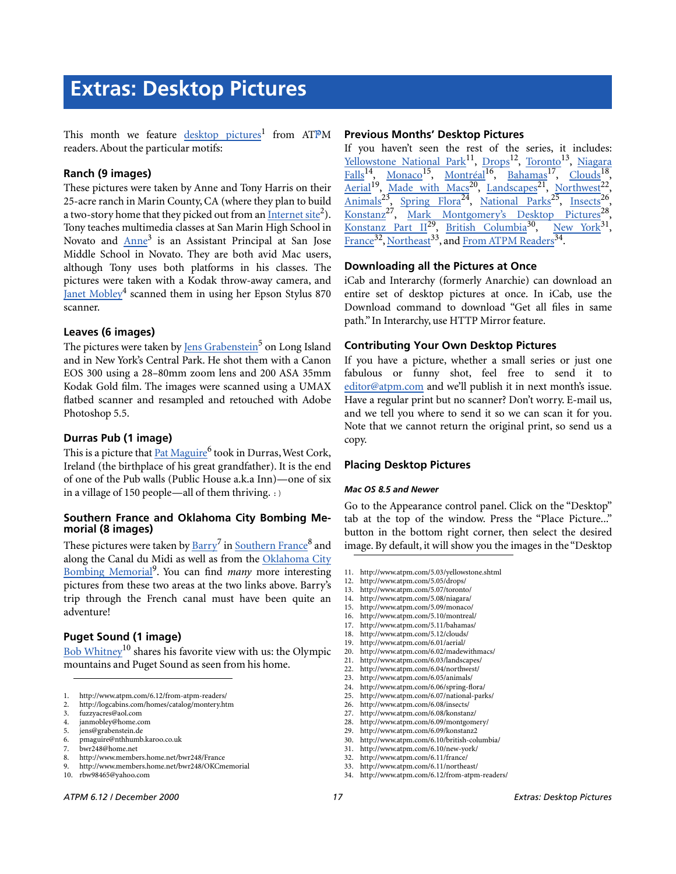This month we feature [desktop pictures](http://www.atpm.com/6.12/from-atpm-readers/)<sup>1</sup> from ATPM readers. About the particular motifs:

#### **Ranch (9 images)**

These pictures were taken by Anne and Tony Harris on their 25-acre ranch in Marin County, CA (where they plan to build a two-story home that they picked out from an  $\frac{Internet site^2}{}$  $\frac{Internet site^2}{}$  $\frac{Internet site^2}{}$ . Tony teaches multimedia classes at San Marin High School in Novato and *Anne<sup>3</sup>* is an Assistant Principal at San Jose Middle School in Novato. They are both avid Mac users, although Tony uses both platforms in his classes. The pictures were taken with a Kodak throw-away camera, and [Janet Mobley](mailto:janmobley@home.com)<sup>4</sup> scanned them in using her Epson Stylus 870 scanner.

#### **Leaves (6 images)**

The pictures were taken by <u>[Jens Grabenstein](mailto:jens@grabenstein.de)<sup>5</sup> on Long</u> Island and in New York's Central Park. He shot them with a Canon EOS 300 using a 28–80mm zoom lens and 200 ASA 35mm Kodak Gold film. The images were scanned using a UMAX flatbed scanner and resampled and retouched with Adobe Photoshop 5.5.

#### **Durras Pub (1 image)**

This is a picture that <u>Pat Maguire</u><sup>6</sup> took in Durras, West Cork, Ireland (the birthplace of his great grandfather). It is the end of one of the Pub walls (Public House a.k.a Inn)—one of six in a village of 150 people—all of them thriving. :)

#### **Southern France and Oklahoma City Bombing Memorial (8 images)**

These pictures were taken by  $\mathrm{Barry}^7$  in  $\mathrm{Southern~France}^8$  and along the Canal du Midi as well as from the [Oklahoma City](http://www.members.home.net/bwr248/OKCmemorial) [Bombing Memorial](http://www.members.home.net/bwr248/OKCmemorial) 9 . You can find *many* more interesting pictures from these two areas at the two links above. Barry's trip through the French canal must have been quite an adventure!

#### **Puget Sound (1 image)**

Bob Whitney<sup>10</sup> shares his favorite view with us: the Olympic mountains and Puget Sound as seen from his home.

- 5. jens@grabenstein.de
- 6. pmaguire@nthhumb.karoo.co.uk
- 7. bwr248@home.net
- 8. http://www.members.home.net/bwr248/France<br>9. http://www.members.home.net/bwr248/OKCm
- 9. http://www.members.home.net/bwr248/OKCmemorial
- 10. rbw98465@yahoo.com

#### **Previous Months' Desktop Pictures**

If you haven't seen the rest of the series, it includes: <u>[Yellowstone National Park](http://www.atpm.com/5.03/yellowstone.shtml)<sup>11</sup>, [Drops](http://www.atpm.com/5.05/drops/)<sup>12</sup>, [Toronto](http://www.atpm.com/5.07/toronto/)<sup>13</sup>, [Niagara](http://www.atpm.com/5.08/niagara/)</u> [Falls](http://www.atpm.com/5.08/niagara/)<sup>14</sup>, <u>Monaco<sup>15</sup>, [Montréal](http://www.atpm.com/5.10/montreal/)<sup>16</sup>, [Bahamas](http://www.atpm.com/5.11/bahamas/)<sup>17</sup>, [Clouds](http://www.atpm.com/5.12/clouds/)<sup>18</sup>,</u> [Aerial](http://www.atpm.com/6.01/aerial/)<sup>19</sup>, [Made with Macs](http://www.atpm.com/6.02/madewithmacs/)<sup>20</sup>, [Landscapes](http://www.atpm.com/6.03/landscapes)<sup>21</sup>, [Northwest](http://www.atpm.com/6.04/northwest/)<sup>22</sup>, [Animals](http://www.atpm.com/6.05/animals/)<sup>23</sup>, Spring Flora<sup>24</sup>, [National Parks](http://www.atpm.com/6.07/national-parks/)<sup>25</sup>, [Insects](http://www.atpm.com/6.08/insects/)<sup>26</sup>, Konstanz<sup>27</sup>, [Mark Montgomery's Desktop Pictures](http://www.atpm.com/6.09/montgomery/)<sup>28</sup>, Konstanz Part  $II^{29}$ , British Columbia<sup>30</sup>, [New York](http://www.atpm.com/6.10/new-york/)<sup>31</sup>, [France](http://www.atpm.com/6.11/france/)<sup>32</sup>, [Northeast](http://www.atpm.com/6.11/northeast/)<sup>33</sup>, and <u>From ATPM Readers</u><sup>34</sup>.

#### **Downloading all the Pictures at Once**

iCab and Interarchy (formerly Anarchie) can download an entire set of desktop pictures at once. In iCab, use the Download command to download "Get all files in same path." In Interarchy, use HTTP Mirror feature.

#### **Contributing Your Own Desktop Pictures**

If you have a picture, whether a small series or just one fabulous or funny shot, feel free to send it to [editor@atpm.com](mailto:editor@atpm.com) and we'll publish it in next month's issue. Have a regular print but no scanner? Don't worry. E-mail us, and we tell you where to send it so we can scan it for you. Note that we cannot return the original print, so send us a copy.

#### **Placing Desktop Pictures**

#### *Mac OS 8.5 and Newer*

Go to the Appearance control panel. Click on the "Desktop" tab at the top of the window. Press the "Place Picture..." button in the bottom right corner, then select the desired image. By default, it will show you the images in the "Desktop

14. http://www.atpm.com/5.08/niagara/

- 16. http://www.atpm.com/5.10/montreal/
- 17. http://www.atpm.com/5.11/bahamas/
- 18. http://www.atpm.com/5.12/clouds/ 19. http://www.atpm.com/6.01/aerial/
- 20. http://www.atpm.com/6.02/madewithmacs/
- 
- 21. http://www.atpm.com/6.03/landscapes/<br>22. http://www.atpm.com/6.04/northwest/ http://www.atpm.com/6.04/northwest/
- 23. http://www.atpm.com/6.05/animals/
- 24. http://www.atpm.com/6.06/spring-flora/<br>25. http://www.atpm.com/6.07/national-parl
- 25. http://www.atpm.com/6.07/national-parks/
- 26. http://www.atpm.com/6.08/insects/
- 27. http://www.atpm.com/6.08/konstanz/<br>28. http://www.atpm.com/6.09/montgom
- http://www.atpm.com/6.09/montgomery/ 29. http://www.atpm.com/6.09/konstanz2
- 
- 30. http://www.atpm.com/6.10/british-columbia/ http://www.atpm.com/6.10/new-york/
- 32. http://www.atpm.com/6.11/france/
- 33. http://www.atpm.com/6.11/northeast/
	- 34. http://www.atpm.com/6.12/from-atpm-readers/

<sup>1.</sup> http://www.atpm.com/6.12/from-atpm-readers/

<sup>2.</sup> http://logcabins.com/homes/catalog/montery.htm

<sup>3.</sup> fuzzyacres@aol.com

<sup>4.</sup> janmobley@home.com

<sup>11.</sup> http://www.atpm.com/5.03/yellowstone.shtml

<sup>12.</sup> http://www.atpm.com/5.05/drops/

<sup>13.</sup> http://www.atpm.com/5.07/toronto/

<sup>15.</sup> http://www.atpm.com/5.09/monaco/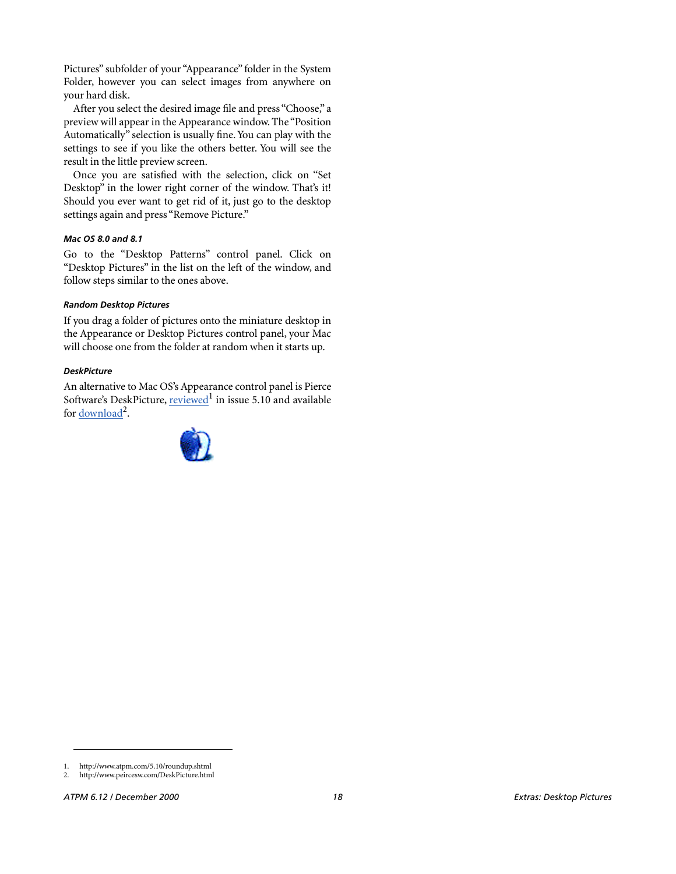Pictures" subfolder of your "Appearance" folder in the System Folder, however you can select images from anywhere on your hard disk.

After you select the desired image file and press "Choose," a preview will appear in the Appearance window. The "Position Automatically" selection is usually fine. You can play with the settings to see if you like the others better. You will see the result in the little preview screen.

Once you are satisfied with the selection, click on "Set Desktop" in the lower right corner of the window. That's it! Should you ever want to get rid of it, just go to the desktop settings again and press "Remove Picture."

#### *Mac OS 8.0 and 8.1*

Go to the "Desktop Patterns" control panel. Click on "Desktop Pictures" in the list on the left of the window, and follow steps similar to the ones above.

#### *Random Desktop Pictures*

If you drag a folder of pictures onto the miniature desktop in the Appearance or Desktop Pictures control panel, your Mac will choose one from the folder at random when it starts up.

#### *DeskPicture*

[An alternative to Mac OS's Appearance control panel is Pierce](http://www.atpm.com/5.10/roundup.shtml) [Software's DeskPicture, reviewed](http://www.atpm.com/5.10/roundup.shtml)<sup>1</sup> [in issue 5.10 and available](http://www.peircesw.com/DeskPicture.html) for <u>download</u><sup>2</sup>.



[<sup>1.</sup> http://www.atpm.com/5.10/roundup.shtml](http://www.peircesw.com/DeskPicture.html)

<sup>2.</sup> http://www.peircesw.com/DeskPicture.html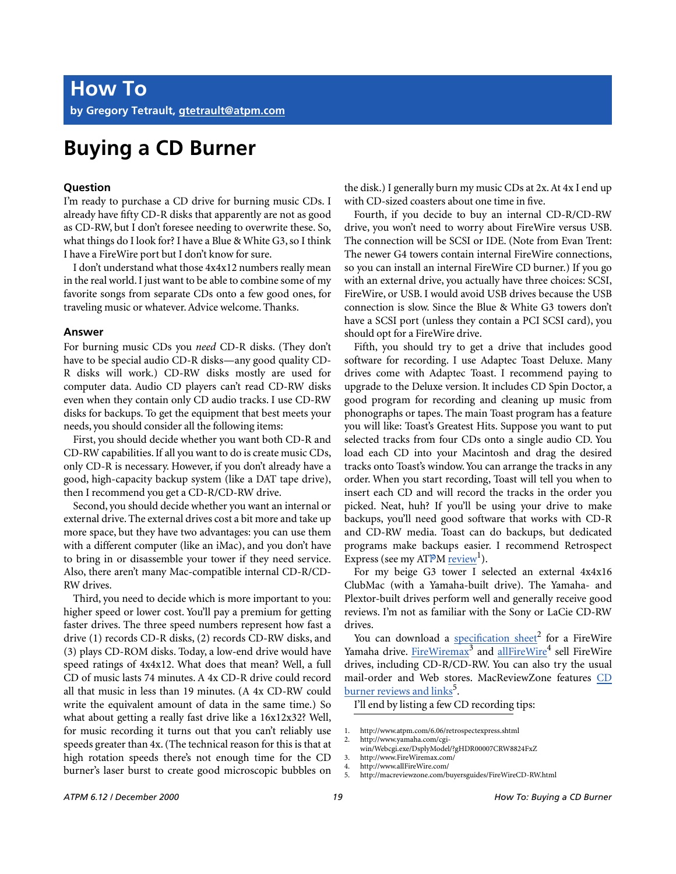## **Buying a CD Burner**

#### **Question**

I'm ready to purchase a CD drive for burning music CDs. I already have fifty CD-R disks that apparently are not as good as CD-RW, but I don't foresee needing to overwrite these. So, what things do I look for? I have a Blue & White G3, so I think I have a FireWire port but I don't know for sure.

I don't understand what those 4x4x12 numbers really mean in the real world. I just want to be able to combine some of my favorite songs from separate CDs onto a few good ones, for traveling music or whatever. Advice welcome. Thanks.

#### **Answer**

For burning music CDs you *need* CD-R disks. (They don't have to be special audio CD-R disks—any good quality CD-R disks will work.) CD-RW disks mostly are used for computer data. Audio CD players can't read CD-RW disks even when they contain only CD audio tracks. I use CD-RW disks for backups. To get the equipment that best meets your needs, you should consider all the following items:

First, you should decide whether you want both CD-R and CD-RW capabilities. If all you want to do is create music CDs, only CD-R is necessary. However, if you don't already have a good, high-capacity backup system (like a DAT tape drive), then I recommend you get a CD-R/CD-RW drive.

Second, you should decide whether you want an internal or external drive. The external drives cost a bit more and take up more space, but they have two advantages: you can use them with a different computer (like an iMac), and you don't have to bring in or disassemble your tower if they need service. Also, there aren't many Mac-compatible internal CD-R/CD-RW drives.

Third, you need to decide which is more important to you: higher speed or lower cost. You'll pay a premium for getting faster drives. The three speed numbers represent how fast a drive (1) records CD-R disks, (2) records CD-RW disks, and (3) plays CD-ROM disks. Today, a low-end drive would have speed ratings of 4x4x12. What does that mean? Well, a full CD of music lasts 74 minutes. A 4x CD-R drive could record all that music in less than 19 minutes. (A 4x CD-RW could write the equivalent amount of data in the same time.) So what about getting a really fast drive like a 16x12x32? Well, for music recording it turns out that you can't reliably use speeds greater than 4x. (The technical reason for this is that at high rotation speeds there's not enough time for the CD burner's laser burst to create good microscopic bubbles on

the disk.) I generally burn my music CDs at 2x. At 4x I end up with CD-sized coasters about one time in five.

Fourth, if you decide to buy an internal CD-R/CD-RW drive, you won't need to worry about FireWire versus USB. The connection will be SCSI or IDE. (Note from Evan Trent: The newer G4 towers contain internal FireWire connections, so you can install an internal FireWire CD burner.) If you go with an external drive, you actually have three choices: SCSI, FireWire, or USB. I would avoid USB drives because the USB connection is slow. Since the Blue & White G3 towers don't have a SCSI port (unless they contain a PCI SCSI card), you should opt for a FireWire drive.

Fifth, you should try to get a drive that includes good software for recording. I use Adaptec Toast Deluxe. Many drives come with Adaptec Toast. I recommend paying to upgrade to the Deluxe version. It includes CD Spin Doctor, a good program for recording and cleaning up music from phonographs or tapes. The main Toast program has a feature you will like: Toast's Greatest Hits. Suppose you want to put selected tracks from four CDs onto a single audio CD. You load each CD into your Macintosh and drag the desired tracks onto Toast's window. You can arrange the tracks in any order. When you start recording, Toast will tell you when to insert each CD and will record the tracks in the order you picked. Neat, huh? If you'll be using your drive to make backups, you'll need good software that works with CD-R and CD-RW media. Toast can do backups, but dedicated programs make backups easier. I recommend Retrospect Express (see my ATPM [review](http://www.atpm.com/6.06/retrospectexpress.shtml)<sup>1</sup>).

For my beige G3 tower I selected an external 4x4x16 ClubMac (with a Yamaha-built drive). The Yamaha- and Plextor-built drives perform well and generally receive good reviews. I'm not as familiar with the Sony or LaCie CD-RW drives.

You can download a [specification sheet](http://www.yamaha.com/cgi-win/Webcgi.exe/DsplyModel/?gHDR00007CRW8824FXZ)<sup>2</sup> for a FireWire Yamaha drive. [FireWiremax](http://www.FireWiremax.com/)<sup>3</sup> and allFireWire<sup>4</sup> sell FireWire drives, including CD-R/CD-RW. You can also try the usual mail-order and Web stores. MacReviewZone features [CD](http://macreviewzone.com/buyersguides/FireWireCD-RW.html) [burner reviews and links](http://macreviewzone.com/buyersguides/FireWireCD-RW.html)<sup>5</sup>.

I'll end by listing a few CD recording tips:

<sup>1.</sup> http://www.atpm.com/6.06/retrospectexpress.shtml

<sup>2.</sup> http://www.yamaha.com/cgiwin/Webcgi.exe/DsplyModel/?gHDR00007CRW8824FxZ

<sup>3.</sup> http://www.FireWiremax.com/

<sup>4.</sup> http://www.allFireWire.com/<br>5. http://macreviewzone.com/b

<sup>5.</sup> http://macreviewzone.com/buyersguides/FireWireCD-RW.html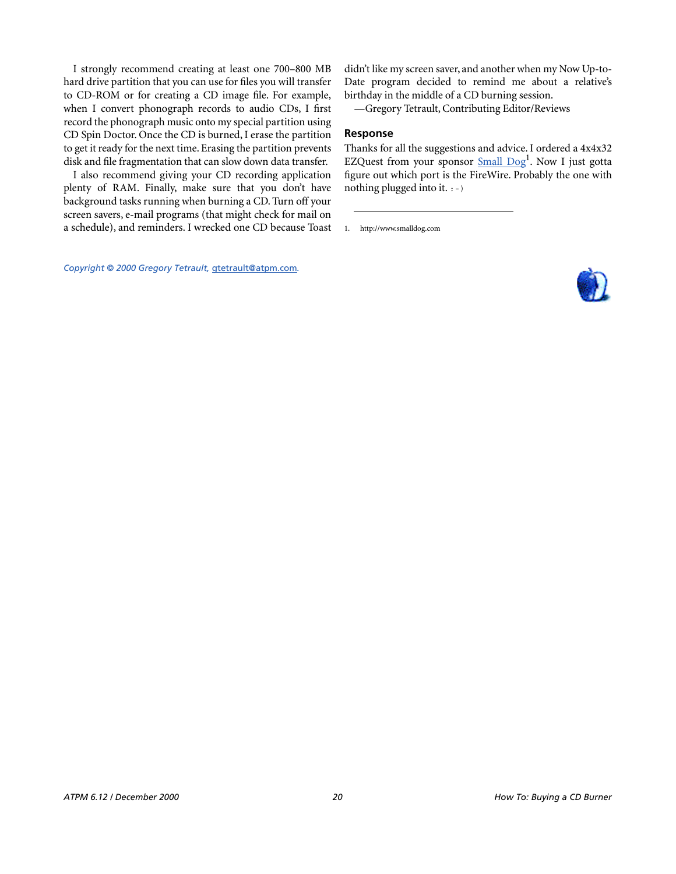I strongly recommend creating at least one 700–800 MB hard drive partition that you can use for files you will transfer to CD-ROM or for creating a CD image file. For example, when I convert phonograph records to audio CDs, I first record the phonograph music onto my special partition using CD Spin Doctor. Once the CD is burned, I erase the partition to get it ready for the next time. Erasing the partition prevents disk and file fragmentation that can slow down data transfer.

I also recommend giving your CD recording application plenty of RAM. Finally, make sure that you don't have background tasks running when burning a CD. Turn off your screen savers, e-mail programs (that might check for mail on a schedule), and reminders. I wrecked one CD because Toast didn't like my screen saver, and another when my Now Up-to-Date program decided to remind me about a relative's birthday in the middle of a CD burning session.

—Gregory Tetrault, Contributing Editor/Reviews

#### **Response**

Thanks for all the suggestions and advice. I ordered a 4x4x32 EZQuest from your sponsor **[Small Dog](http://www.smalldog.com)**<sup>1</sup>. Now I just gotta figure out which port is the FireWire. Probably the one with nothing plugged into it.  $:-)$ 

1. http://www.smalldog.com

*Copyright © 2000 Gregory Tetrault,* [gtetrault@atpm.com](mailto:gtetrault@atpm.com)*.*

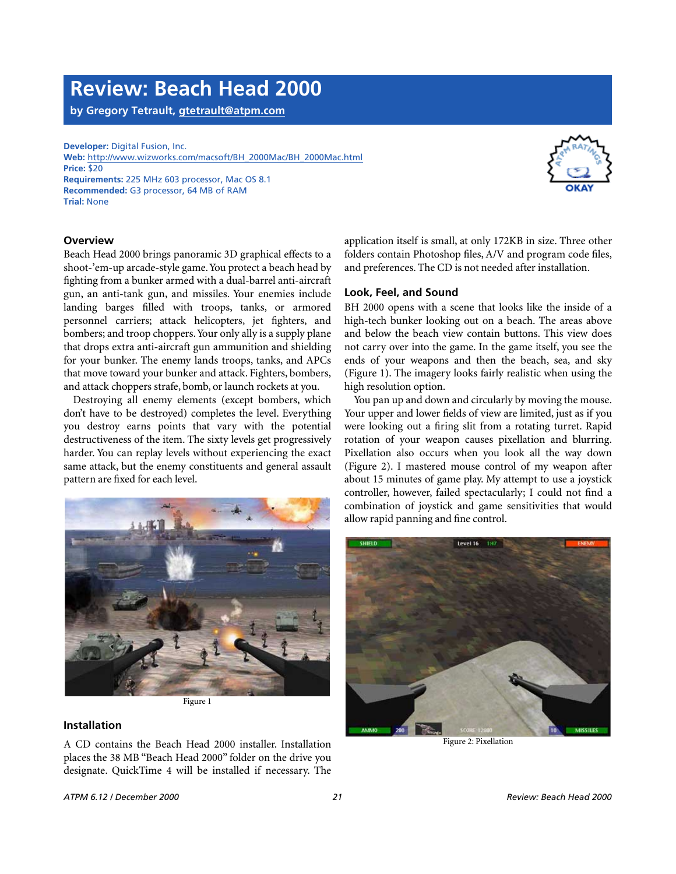### **Review: Beach Head 2000**

**by Gregory Tetrault, [gtetrault@atpm.com](mailto:gtetrault@atpm.com)**

**Developer:** Digital Fusion, Inc. **Web:** [http://www.wizworks.com/macsoft/BH\\_2000Mac/BH\\_2000Mac.html](http://www.wizworks.com/macsoft/BH_2000Mac/BH_2000Mac.html) **Price:** \$20 **Requirements:** 225 MHz 603 processor, Mac OS 8.1 **Recommended:** G3 processor, 64 MB of RAM **Trial:** None



#### **Overview**

Beach Head 2000 brings panoramic 3D graphical effects to a shoot-'em-up arcade-style game. You protect a beach head by fighting from a bunker armed with a dual-barrel anti-aircraft gun, an anti-tank gun, and missiles. Your enemies include landing barges filled with troops, tanks, or armored personnel carriers; attack helicopters, jet fighters, and bombers; and troop choppers. Your only ally is a supply plane that drops extra anti-aircraft gun ammunition and shielding for your bunker. The enemy lands troops, tanks, and APCs that move toward your bunker and attack. Fighters, bombers, and attack choppers strafe, bomb, or launch rockets at you.

Destroying all enemy elements (except bombers, which don't have to be destroyed) completes the level. Everything you destroy earns points that vary with the potential destructiveness of the item. The sixty levels get progressively harder. You can replay levels without experiencing the exact same attack, but the enemy constituents and general assault pattern are fixed for each level.



Figure 1

#### **Installation**

A CD contains the Beach Head 2000 installer. Installation places the 38 MB "Beach Head 2000" folder on the drive you designate. QuickTime 4 will be installed if necessary. The

application itself is small, at only 172KB in size. Three other folders contain Photoshop files, A/V and program code files, and preferences. The CD is not needed after installation.

#### **Look, Feel, and Sound**

BH 2000 opens with a scene that looks like the inside of a high-tech bunker looking out on a beach. The areas above and below the beach view contain buttons. This view does not carry over into the game. In the game itself, you see the ends of your weapons and then the beach, sea, and sky (Figure 1). The imagery looks fairly realistic when using the high resolution option.

You pan up and down and circularly by moving the mouse. Your upper and lower fields of view are limited, just as if you were looking out a firing slit from a rotating turret. Rapid rotation of your weapon causes pixellation and blurring. Pixellation also occurs when you look all the way down (Figure 2). I mastered mouse control of my weapon after about 15 minutes of game play. My attempt to use a joystick controller, however, failed spectacularly; I could not find a combination of joystick and game sensitivities that would allow rapid panning and fine control.



Figure 2: Pixellation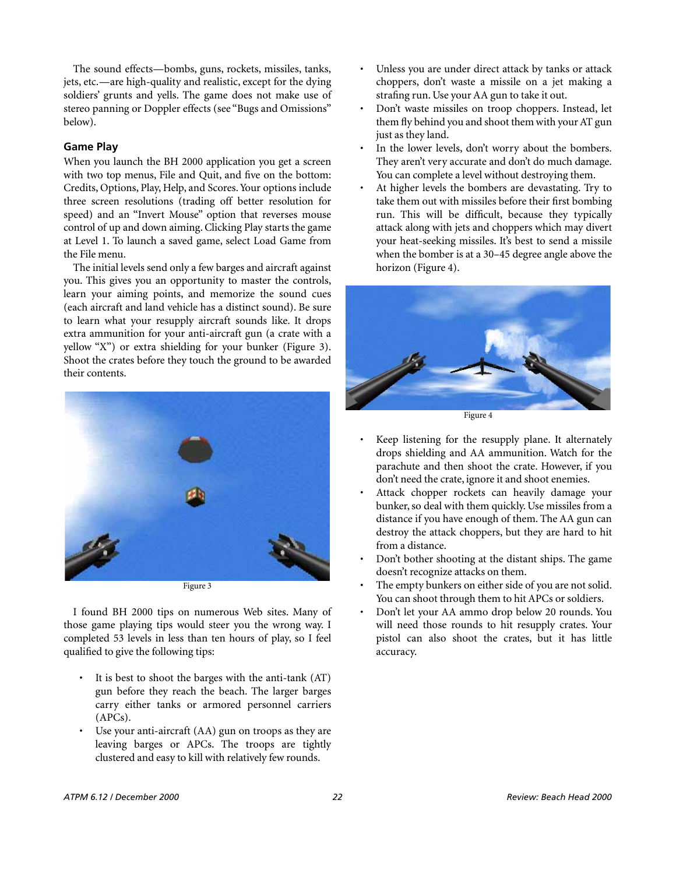The sound effects—bombs, guns, rockets, missiles, tanks, jets, etc.—are high-quality and realistic, except for the dying soldiers' grunts and yells. The game does not make use of stereo panning or Doppler effects (see "Bugs and Omissions" below).

#### **Game Play**

When you launch the BH 2000 application you get a screen with two top menus, File and Quit, and five on the bottom: Credits, Options, Play, Help, and Scores. Your options include three screen resolutions (trading off better resolution for speed) and an "Invert Mouse" option that reverses mouse control of up and down aiming. Clicking Play starts the game at Level 1. To launch a saved game, select Load Game from the File menu.

The initial levels send only a few barges and aircraft against you. This gives you an opportunity to master the controls, learn your aiming points, and memorize the sound cues (each aircraft and land vehicle has a distinct sound). Be sure to learn what your resupply aircraft sounds like. It drops extra ammunition for your anti-aircraft gun (a crate with a yellow "X") or extra shielding for your bunker (Figure 3). Shoot the crates before they touch the ground to be awarded their contents.



I found BH 2000 tips on numerous Web sites. Many of those game playing tips would steer you the wrong way. I completed 53 levels in less than ten hours of play, so I feel qualified to give the following tips:

- It is best to shoot the barges with the anti-tank (AT) gun before they reach the beach. The larger barges carry either tanks or armored personnel carriers (APCs).
- Use your anti-aircraft  $(AA)$  gun on troops as they are leaving barges or APCs. The troops are tightly clustered and easy to kill with relatively few rounds.
- Unless you are under direct attack by tanks or attack choppers, don't waste a missile on a jet making a strafing run. Use your AA gun to take it out.
- Don't waste missiles on troop choppers. Instead, let them fly behind you and shoot them with your AT gun just as they land.
- In the lower levels, don't worry about the bombers. They aren't very accurate and don't do much damage. You can complete a level without destroying them.
- At higher levels the bombers are devastating. Try to take them out with missiles before their first bombing run. This will be difficult, because they typically attack along with jets and choppers which may divert your heat-seeking missiles. It's best to send a missile when the bomber is at a 30–45 degree angle above the horizon (Figure 4).



Figure 4

- Keep listening for the resupply plane. It alternately drops shielding and AA ammunition. Watch for the parachute and then shoot the crate. However, if you don't need the crate, ignore it and shoot enemies.
- Attack chopper rockets can heavily damage your bunker, so deal with them quickly. Use missiles from a distance if you have enough of them. The AA gun can destroy the attack choppers, but they are hard to hit from a distance.
- Don't bother shooting at the distant ships. The game doesn't recognize attacks on them.
- The empty bunkers on either side of you are not solid. You can shoot through them to hit APCs or soldiers.
- Don't let your AA ammo drop below 20 rounds. You will need those rounds to hit resupply crates. Your pistol can also shoot the crates, but it has little accuracy.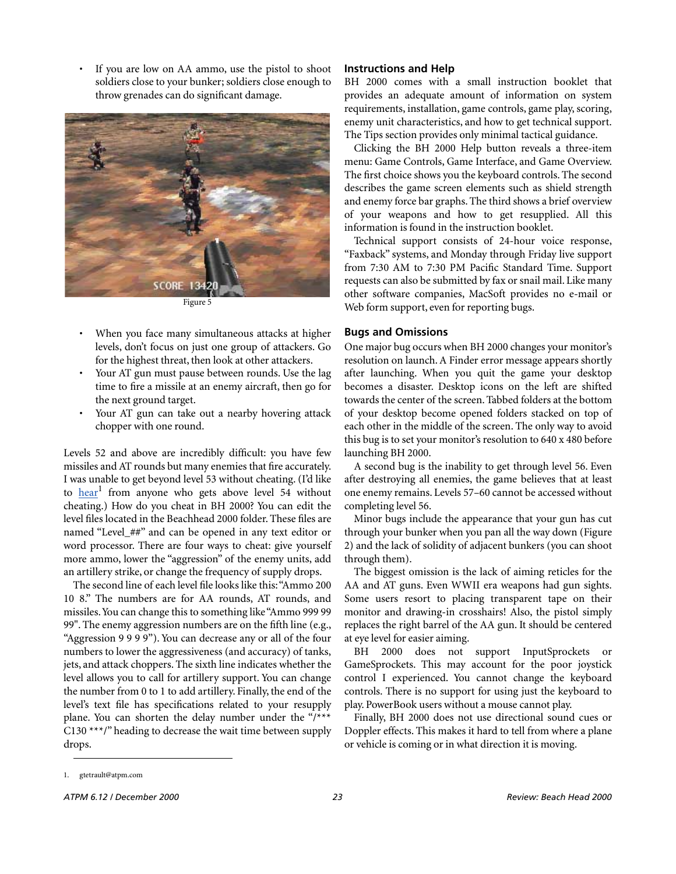If you are low on AA ammo, use the pistol to shoot soldiers close to your bunker; soldiers close enough to throw grenades can do significant damage.



Figure 5

- When you face many simultaneous attacks at higher levels, don't focus on just one group of attackers. Go for the highest threat, then look at other attackers.
- Your AT gun must pause between rounds. Use the lag time to fire a missile at an enemy aircraft, then go for the next ground target.
- Your AT gun can take out a nearby hovering attack chopper with one round.

Levels 52 and above are incredibly difficult: you have few missiles and AT rounds but many enemies that fire accurately. I was unable to get beyond level 53 without cheating. (I'd like to [hear](mailto:gtetrault@atpm.com)<sup>1</sup> from anyone who gets above level 54 without cheating.) How do you cheat in BH 2000? You can edit the level files located in the Beachhead 2000 folder. These files are named "Level\_##" and can be opened in any text editor or word processor. There are four ways to cheat: give yourself more ammo, lower the "aggression" of the enemy units, add an artillery strike, or change the frequency of supply drops.

The second line of each level file looks like this: "Ammo 200 10 8." The numbers are for AA rounds, AT rounds, and missiles. You can change this to something like "Ammo 999 99 99". The enemy aggression numbers are on the fifth line (e.g., "Aggression 9 9 9 9"). You can decrease any or all of the four numbers to lower the aggressiveness (and accuracy) of tanks, jets, and attack choppers. The sixth line indicates whether the level allows you to call for artillery support. You can change the number from 0 to 1 to add artillery. Finally, the end of the level's text file has specifications related to your resupply plane. You can shorten the delay number under the "/\*\*\*  $C130$  \*\*\*/" heading to decrease the wait time between supply drops.

#### **Instructions and Help**

BH 2000 comes with a small instruction booklet that provides an adequate amount of information on system requirements, installation, game controls, game play, scoring, enemy unit characteristics, and how to get technical support. The Tips section provides only minimal tactical guidance.

Clicking the BH 2000 Help button reveals a three-item menu: Game Controls, Game Interface, and Game Overview. The first choice shows you the keyboard controls. The second describes the game screen elements such as shield strength and enemy force bar graphs. The third shows a brief overview of your weapons and how to get resupplied. All this information is found in the instruction booklet.

Technical support consists of 24-hour voice response, "Faxback" systems, and Monday through Friday live support from 7:30 AM to 7:30 PM Pacific Standard Time. Support requests can also be submitted by fax or snail mail. Like many other software companies, MacSoft provides no e-mail or Web form support, even for reporting bugs.

#### **Bugs and Omissions**

One major bug occurs when BH 2000 changes your monitor's resolution on launch. A Finder error message appears shortly after launching. When you quit the game your desktop becomes a disaster. Desktop icons on the left are shifted towards the center of the screen. Tabbed folders at the bottom of your desktop become opened folders stacked on top of each other in the middle of the screen. The only way to avoid this bug is to set your monitor's resolution to 640 x 480 before launching BH 2000.

A second bug is the inability to get through level 56. Even after destroying all enemies, the game believes that at least one enemy remains. Levels 57–60 cannot be accessed without completing level 56.

Minor bugs include the appearance that your gun has cut through your bunker when you pan all the way down (Figure 2) and the lack of solidity of adjacent bunkers (you can shoot through them).

The biggest omission is the lack of aiming reticles for the AA and AT guns. Even WWII era weapons had gun sights. Some users resort to placing transparent tape on their monitor and drawing-in crosshairs! Also, the pistol simply replaces the right barrel of the AA gun. It should be centered at eye level for easier aiming.

BH 2000 does not support InputSprockets or GameSprockets. This may account for the poor joystick control I experienced. You cannot change the keyboard controls. There is no support for using just the keyboard to play. PowerBook users without a mouse cannot play.

Finally, BH 2000 does not use directional sound cues or Doppler effects. This makes it hard to tell from where a plane or vehicle is coming or in what direction it is moving.

<sup>1.</sup> gtetrault@atpm.com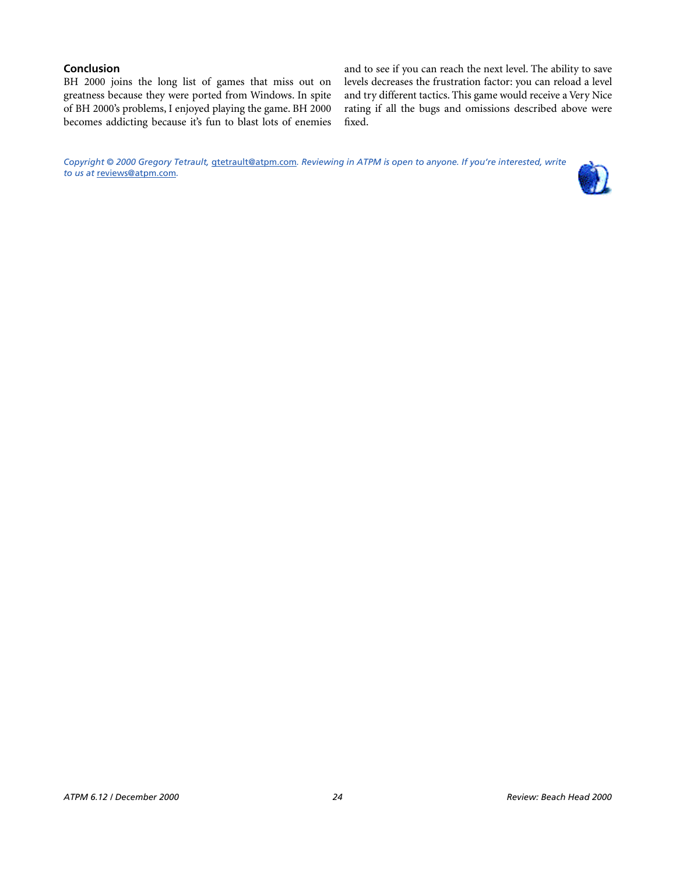#### **Conclusion**

BH 2000 joins the long list of games that miss out on greatness because they were ported from Windows. In spite of BH 2000's problems, I enjoyed playing the game. BH 2000 becomes addicting because it's fun to blast lots of enemies and to see if you can reach the next level. The ability to save levels decreases the frustration factor: you can reload a level and try different tactics. This game would receive a Very Nice rating if all the bugs and omissions described above were fixed.

*Copyright © 2000 Gregory Tetrault,* [gtetrault@atpm.com](mailto:gtetrault@atpm.com)*. Reviewing in ATPM is open to anyone. If you're interested, write to us at* [reviews@atpm.com](mailto:reviews@atpm.com)*.*

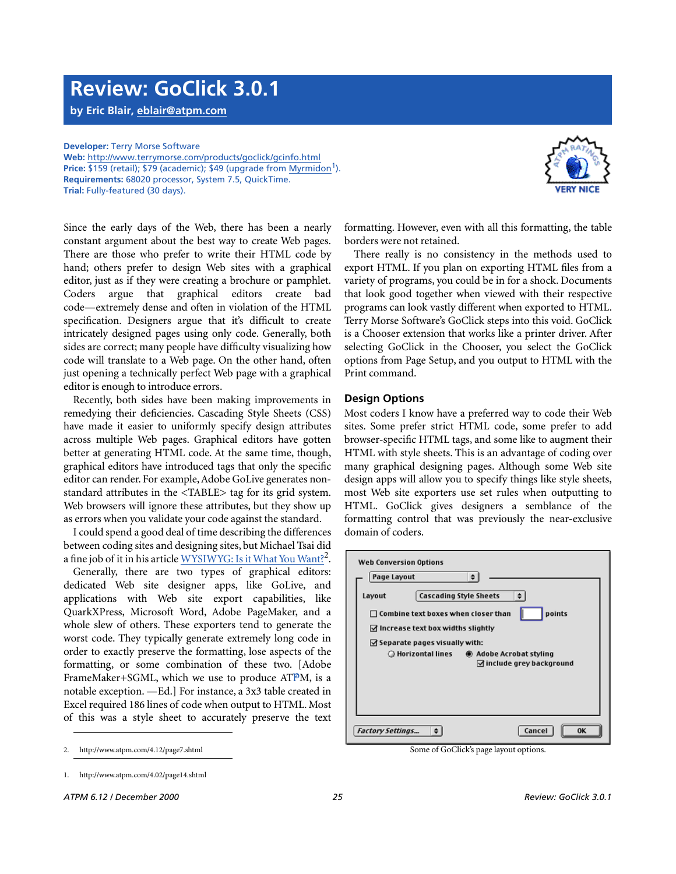### **Review: GoClick 3.0.1**

**by Eric Blair, [eblair@atpm.com](mailto:eblair@atpm.com)**

#### **Developer:** Terry Morse Software

**Web:** <http://www.terrymorse.com/products/goclick/gcinfo.html> **Price: \$159 (retail); \$79 (academic); \$49 (upgrade from [Myrmidon](http://www.atpm.com/4.02/page14.shtml)<sup>1</sup>). Requirements:** 68020 processor, System 7.5, QuickTime. **Trial:** Fully-featured (30 days).



Recently, both sides have been making improvements in remedying their deficiencies. Cascading Style Sheets (CSS) have made it easier to uniformly specify design attributes across multiple Web pages. Graphical editors have gotten better at generating HTML code. At the same time, though, graphical editors have introduced tags that only the specific editor can render. For example, Adobe GoLive generates nonstandard attributes in the <TABLE> tag for its grid system. Web browsers will ignore these attributes, but they show up as errors when you validate your code against the standard.

I could spend a good deal of time describing the differences between coding sites and designing sites, but Michael Tsai did a fine job of it in his article  $\frac{WYSIWYG: Is it What You Wan't?}{W?}$ .

Generally, there are two types of graphical editors: dedicated Web site designer apps, like GoLive, and applications with Web site export capabilities, like QuarkXPress, Microsoft Word, Adobe PageMaker, and a whole slew of others. These exporters tend to generate the worst code. They typically generate extremely long code in order to exactly preserve the formatting, lose aspects of the formatting, or some combination of these two. [Adobe FrameMaker+SGML, which we use to produce ATPM, is a notable exception. —Ed.] For instance, a 3x3 table created in Excel required 186 lines of code when output to HTML. Most of this was a style sheet to accurately preserve the text

formatting. However, even with all this formatting, the table borders were not retained.

There really is no consistency in the methods used to export HTML. If you plan on exporting HTML files from a variety of programs, you could be in for a shock. Documents that look good together when viewed with their respective programs can look vastly different when exported to HTML. Terry Morse Software's GoClick steps into this void. GoClick is a Chooser extension that works like a printer driver. After selecting GoClick in the Chooser, you select the GoClick options from Page Setup, and you output to HTML with the Print command.

#### **Design Options**

Most coders I know have a preferred way to code their Web sites. Some prefer strict HTML code, some prefer to add browser-specific HTML tags, and some like to augment their HTML with style sheets. This is an advantage of coding over many graphical designing pages. Although some Web site design apps will allow you to specify things like style sheets, most Web site exporters use set rules when outputting to HTML. GoClick gives designers a semblance of the formatting control that was previously the near-exclusive domain of coders.

| <b>Web Conversion Options</b>                                                          |  |  |
|----------------------------------------------------------------------------------------|--|--|
| Page Layout<br>÷                                                                       |  |  |
| <b>Cascading Style Sheets</b><br>Layout                                                |  |  |
| points<br>$\Box$ Combine text boxes when closer than                                   |  |  |
| $\boxtimes$ Increase text box widths slightly                                          |  |  |
| $\triangle$ Separate pages visually with:                                              |  |  |
| ○ Horizontal lines<br>Adobe Acrobat styling<br>$\triangleleft$ include grey background |  |  |
|                                                                                        |  |  |
|                                                                                        |  |  |
|                                                                                        |  |  |
| Cancel<br><b>Factory Settings</b><br>OK                                                |  |  |

2. http://www.atpm.com/4.12/page7.shtml Some of GoClick's page layout options.



<sup>1.</sup> http://www.atpm.com/4.02/page14.shtml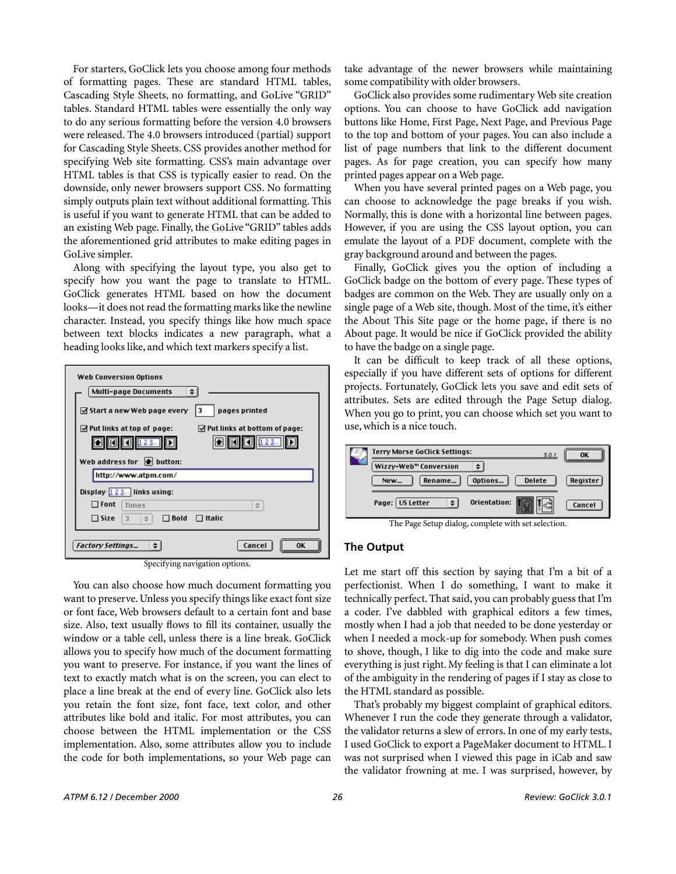For starters, GoClick lets you choose among four methods of formatting pages. These are standard HTML tables, Cascading Style Sheets, no formatting, and GoLive "GRID" tables. Standard HTML tables were essentially the only way to do any serious formatting before the version 4.0 browsers were released. The 4.0 browsers introduced (partial) support for Cascading Style Sheets. CSS provides another method for specifying Web site formatting. CSS's main advantage over HTML tables is that CSS is typically easier to read. On the downside, only newer browsers support CSS. No formatting simply outputs plain text without additional formatting. This is useful if you want to generate HTML that can be added to an existing Web page. Finally, the GoLive "GRID" tables adds the aforementioned grid attributes to make editing pages in GoLive simpler.

Along with specifying the layout type, you also get to specify how you want the page to translate to HTML. GoClick generates HTML based on how the document looks—it does not read the formatting marks like the newline character. Instead, you specify things like how much space between text blocks indicates a new paragraph, what a heading looks like, and which text markers specify a list.

| <b>Web Conversion Options</b>                                                     |  |  |
|-----------------------------------------------------------------------------------|--|--|
| <b>Multi-page Documents</b>                                                       |  |  |
| ☑ Start a new Web page every<br>pages printed                                     |  |  |
| $\triangle$ Put links at top of page:<br>$\boxtimes$ Put links at bottom of page: |  |  |
|                                                                                   |  |  |
| 123.<br>123                                                                       |  |  |
|                                                                                   |  |  |
| Web address for $\bigoplus$ button:                                               |  |  |
| http://www.atpm.com/                                                              |  |  |
|                                                                                   |  |  |
| Display $\boxed{123}$ links using:                                                |  |  |
| $\Box$ Font<br>Times<br>$\Rightarrow$                                             |  |  |
|                                                                                   |  |  |
| $\square$ Size<br>$\Box$ Bold<br>$\Box$ Italic<br>3                               |  |  |
|                                                                                   |  |  |
| Cancel<br><b>Factory Settings</b>                                                 |  |  |

Specifying navigation options.

You can also choose how much document formatting you want to preserve. Unless you specify things like exact font size or font face, Web browsers default to a certain font and base size. Also, text usually flows to fill its container, usually the window or a table cell, unless there is a line break. GoClick allows you to specify how much of the document formatting you want to preserve. For instance, if you want the lines of text to exactly match what is on the screen, you can elect to place a line break at the end of every line. GoClick also lets you retain the font size, font face, text color, and other attributes like bold and italic. For most attributes, you can choose between the HTML implementation or the CSS implementation. Also, some attributes allow you to include the code for both implementations, so your Web page can

take advantage of the newer browsers while maintaining some compatibility with older browsers.

GoClick also provides some rudimentary Web site creation options. You can choose to have GoClick add navigation buttons like Home, First Page, Next Page, and Previous Page to the top and bottom of your pages. You can also include a list of page numbers that link to the different document pages. As for page creation, you can specify how many printed pages appear on a Web page.

When you have several printed pages on a Web page, you can choose to acknowledge the page breaks if you wish. Normally, this is done with a horizontal line between pages. However, if you are using the CSS layout option, you can emulate the layout of a PDF document, complete with the gray background around and between the pages.

Finally, GoClick gives you the option of including a GoClick badge on the bottom of every page. These types of badges are common on the Web. They are usually only on a single page of a Web site, though. Most of the time, it's either the About This Site page or the home page, if there is no About page. It would be nice if GoClick provided the ability to have the badge on a single page.

It can be difficult to keep track of all these options, especially if you have different sets of options for different projects. Fortunately, GoClick lets you save and edit sets of attributes. Sets are edited through the Page Setup dialog. When you go to print, you can choose which set you want to use, which is a nice touch.



The Page Setup dialog, complete with set selection.

#### **The Output**

Let me start off this section by saying that I'm a bit of a perfectionist. When I do something, I want to make it technically perfect. That said, you can probably guess that I'm a coder. I've dabbled with graphical editors a few times, mostly when I had a job that needed to be done yesterday or when I needed a mock-up for somebody. When push comes to shove, though, I like to dig into the code and make sure everything is just right. My feeling is that I can eliminate a lot of the ambiguity in the rendering of pages if I stay as close to the HTML standard as possible.

That's probably my biggest complaint of graphical editors. Whenever I run the code they generate through a validator, the validator returns a slew of errors. In one of my early tests, I used GoClick to export a PageMaker document to HTML. I was not surprised when I viewed this page in iCab and saw the validator frowning at me. I was surprised, however, by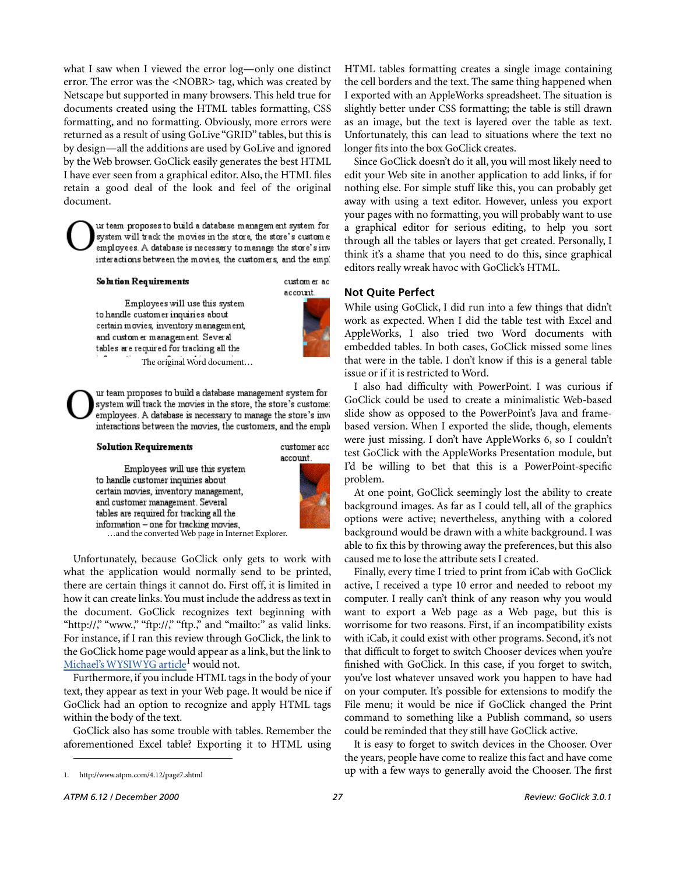what I saw when I viewed the error log—only one distinct error. The error was the <NOBR> tag, which was created by Netscape but supported in many browsers. This held true for documents created using the HTML tables formatting, CSS formatting, and no formatting. Obviously, more errors were returned as a result of using GoLive "GRID" tables, but this is by design—all the additions are used by GoLive and ignored by the Web browser. GoClick easily generates the best HTML I have ever seen from a graphical editor. Also, the HTML files retain a good deal of the look and feel of the original document.

ur team proposes to build a database managem ent system for system will track the movies in the store, the store's custome employees. A database is necessary to manage the store's inv interactions between the movies, the customers, and the empl

#### Solution Requirements

custom er ac account.

Employees will use this system to handle customer inquiries about certain movies, inventory management, and custom er management. Several tables are required for tracking all the The original Word document…



ur team proposes to build a database management system for system will track the movies in the store, the store's custome: employees. A database is necessary to manage the store's invinteractions between the movies, the customers, and the empl

#### **Solution Requirements**

customer acc account.

Employees will use this system to handle customer inquiries about certain movies, inventory management, and customer management. Several tables are required for tracking all the …and the converted Web page in Internet Explorer.



Unfortunately, because GoClick only gets to work with what the application would normally send to be printed, there are certain things it cannot do. First off, it is limited in how it can create links. You must include the address as text in the document. GoClick recognizes text beginning with "http://," "www.," "ftp://," "ftp.," and "mailto:" as valid links. For instance, if I ran this review through GoClick, the link to the GoClick home page would appear as a link, but the link to Michael's WYSIWYG article<sup>1</sup> would not.

Furthermore, if you include HTML tags in the body of your text, they appear as text in your Web page. It would be nice if GoClick had an option to recognize and apply HTML tags within the body of the text.

GoClick also has some trouble with tables. Remember the aforementioned Excel table? Exporting it to HTML using HTML tables formatting creates a single image containing the cell borders and the text. The same thing happened when I exported with an AppleWorks spreadsheet. The situation is slightly better under CSS formatting; the table is still drawn as an image, but the text is layered over the table as text. Unfortunately, this can lead to situations where the text no longer fits into the box GoClick creates.

Since GoClick doesn't do it all, you will most likely need to edit your Web site in another application to add links, if for nothing else. For simple stuff like this, you can probably get away with using a text editor. However, unless you export your pages with no formatting, you will probably want to use a graphical editor for serious editing, to help you sort through all the tables or layers that get created. Personally, I think it's a shame that you need to do this, since graphical editors really wreak havoc with GoClick's HTML.

#### **Not Quite Perfect**

While using GoClick, I did run into a few things that didn't work as expected. When I did the table test with Excel and AppleWorks, I also tried two Word documents with embedded tables. In both cases, GoClick missed some lines that were in the table. I don't know if this is a general table issue or if it is restricted to Word.

I also had difficulty with PowerPoint. I was curious if GoClick could be used to create a minimalistic Web-based slide show as opposed to the PowerPoint's Java and framebased version. When I exported the slide, though, elements were just missing. I don't have AppleWorks 6, so I couldn't test GoClick with the AppleWorks Presentation module, but I'd be willing to bet that this is a PowerPoint-specific problem.

At one point, GoClick seemingly lost the ability to create background images. As far as I could tell, all of the graphics options were active; nevertheless, anything with a colored background would be drawn with a white background. I was able to fix this by throwing away the preferences, but this also caused me to lose the attribute sets I created.

Finally, every time I tried to print from iCab with GoClick active, I received a type 10 error and needed to reboot my computer. I really can't think of any reason why you would want to export a Web page as a Web page, but this is worrisome for two reasons. First, if an incompatibility exists with iCab, it could exist with other programs. Second, it's not that difficult to forget to switch Chooser devices when you're finished with GoClick. In this case, if you forget to switch, you've lost whatever unsaved work you happen to have had on your computer. It's possible for extensions to modify the File menu; it would be nice if GoClick changed the Print command to something like a Publish command, so users could be reminded that they still have GoClick active.

It is easy to forget to switch devices in the Chooser. Over the years, people have come to realize this fact and have come up with a few ways to generally avoid the Chooser. The first

<sup>1.</sup> http://www.atpm.com/4.12/page7.shtml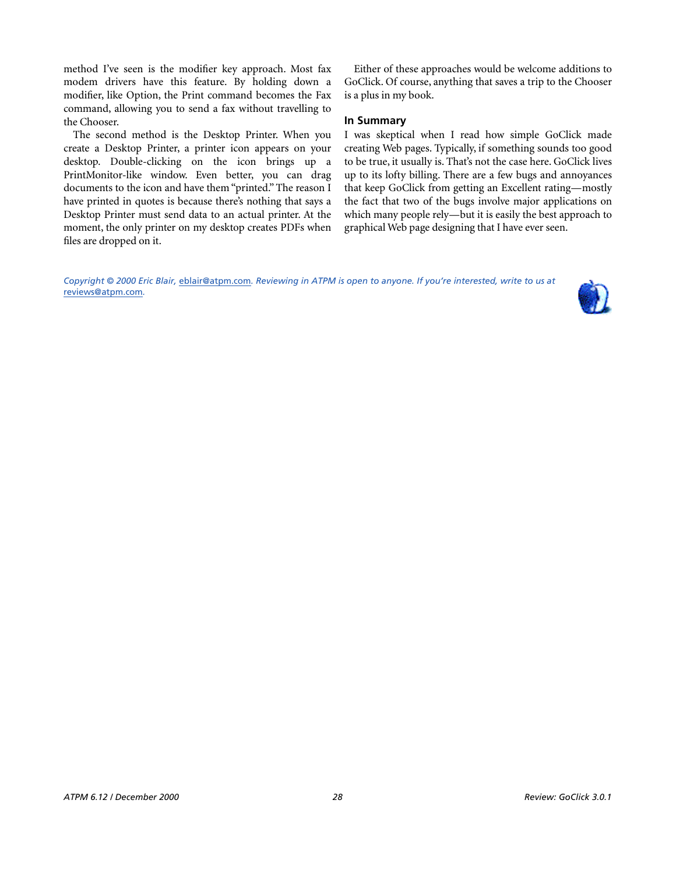method I've seen is the modifier key approach. Most fax modem drivers have this feature. By holding down a modifier, like Option, the Print command becomes the Fax command, allowing you to send a fax without travelling to the Chooser.

The second method is the Desktop Printer. When you create a Desktop Printer, a printer icon appears on your desktop. Double-clicking on the icon brings up a PrintMonitor-like window. Even better, you can drag documents to the icon and have them "printed." The reason I have printed in quotes is because there's nothing that says a Desktop Printer must send data to an actual printer. At the moment, the only printer on my desktop creates PDFs when files are dropped on it.

Either of these approaches would be welcome additions to GoClick. Of course, anything that saves a trip to the Chooser is a plus in my book.

#### **In Summary**

I was skeptical when I read how simple GoClick made creating Web pages. Typically, if something sounds too good to be true, it usually is. That's not the case here. GoClick lives up to its lofty billing. There are a few bugs and annoyances that keep GoClick from getting an Excellent rating—mostly the fact that two of the bugs involve major applications on which many people rely—but it is easily the best approach to graphical Web page designing that I have ever seen.

*Copyright © 2000 Eric Blair,* [eblair@atpm.com](mailto:eblair@atpm.com)*. Reviewing in ATPM is open to anyone. If you're interested, write to us at*  [reviews@atpm.com](mailto:reviews@atpm.com)*.*

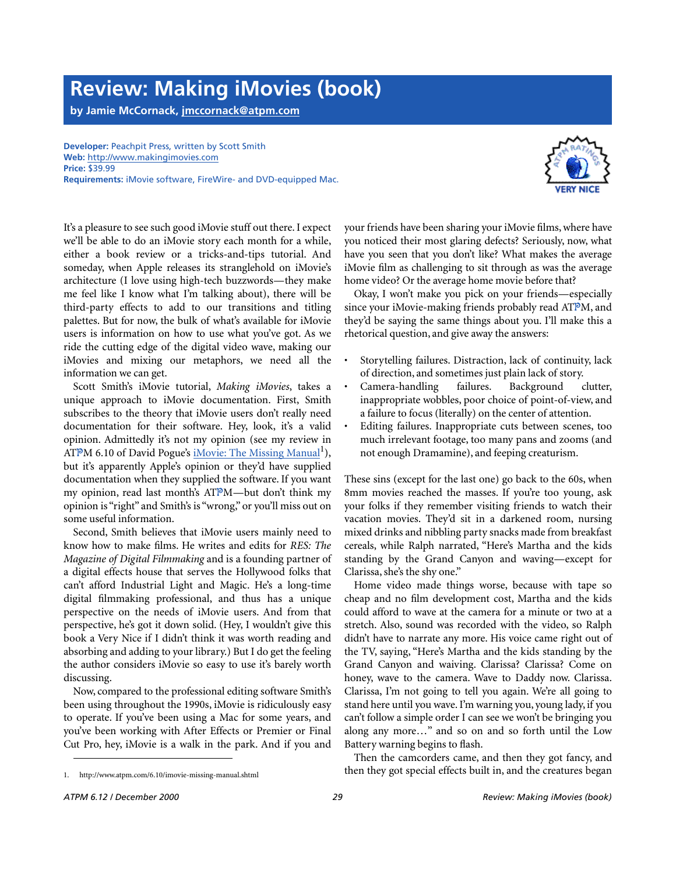# **Review: Making iMovies (book)**

**by Jamie McCornack, [jmccornack@atpm.com](mailto:jmccornack@atpm.com)**

**Developer:** Peachpit Press, written by Scott Smith **Web:** <http://www.makingimovies.com> **Price:** \$39.99 **Requirements:** iMovie software, FireWire- and DVD-equipped Mac.



It's a pleasure to see such good iMovie stuff out there. I expect we'll be able to do an iMovie story each month for a while, either a book review or a tricks-and-tips tutorial. And someday, when Apple releases its stranglehold on iMovie's architecture (I love using high-tech buzzwords—they make me feel like I know what I'm talking about), there will be third-party effects to add to our transitions and titling palettes. But for now, the bulk of what's available for iMovie users is information on how to use what you've got. As we ride the cutting edge of the digital video wave, making our iMovies and mixing our metaphors, we need all the information we can get.

Scott Smith's iMovie tutorial, *Making iMovies*, takes a unique approach to iMovie documentation. First, Smith subscribes to the theory that iMovie users don't really need documentation for their software. Hey, look, it's a valid opinion. Admittedly it's not my opinion (see my review in ATPM 6.10 of David Pogue's [iMovie: The Missing Manual](http://www.atpm.com/6.10/imovie-missing-manual.shtml)<sup>1</sup>), but it's apparently Apple's opinion or they'd have supplied documentation when they supplied the software. If you want my opinion, read last month's ATPM—but don't think my opinion is "right" and Smith's is "wrong," or you'll miss out on some useful information.

Second, Smith believes that iMovie users mainly need to know how to make films. He writes and edits for *RES: The Magazine of Digital Filmmaking* and is a founding partner of a digital effects house that serves the Hollywood folks that can't afford Industrial Light and Magic. He's a long-time digital filmmaking professional, and thus has a unique perspective on the needs of iMovie users. And from that perspective, he's got it down solid. (Hey, I wouldn't give this book a Very Nice if I didn't think it was worth reading and absorbing and adding to your library.) But I do get the feeling the author considers iMovie so easy to use it's barely worth discussing.

Now, compared to the professional editing software Smith's been using throughout the 1990s, iMovie is ridiculously easy to operate. If you've been using a Mac for some years, and you've been working with After Effects or Premier or Final Cut Pro, hey, iMovie is a walk in the park. And if you and

your friends have been sharing your iMovie films, where have you noticed their most glaring defects? Seriously, now, what have you seen that you don't like? What makes the average iMovie film as challenging to sit through as was the average home video? Or the average home movie before that?

Okay, I won't make you pick on your friends—especially since your iMovie-making friends probably read ATPM, and they'd be saying the same things about you. I'll make this a rhetorical question, and give away the answers:

- Storytelling failures. Distraction, lack of continuity, lack of direction, and sometimes just plain lack of story.
- Camera-handling failures. Background clutter, inappropriate wobbles, poor choice of point-of-view, and a failure to focus (literally) on the center of attention.
- Editing failures. Inappropriate cuts between scenes, too much irrelevant footage, too many pans and zooms (and not enough Dramamine), and feeping creaturism.

These sins (except for the last one) go back to the 60s, when 8mm movies reached the masses. If you're too young, ask your folks if they remember visiting friends to watch their vacation movies. They'd sit in a darkened room, nursing mixed drinks and nibbling party snacks made from breakfast cereals, while Ralph narrated, "Here's Martha and the kids standing by the Grand Canyon and waving—except for Clarissa, she's the shy one."

Home video made things worse, because with tape so cheap and no film development cost, Martha and the kids could afford to wave at the camera for a minute or two at a stretch. Also, sound was recorded with the video, so Ralph didn't have to narrate any more. His voice came right out of the TV, saying, "Here's Martha and the kids standing by the Grand Canyon and waiving. Clarissa? Clarissa? Come on honey, wave to the camera. Wave to Daddy now. Clarissa. Clarissa, I'm not going to tell you again. We're all going to stand here until you wave. I'm warning you, young lady, if you can't follow a simple order I can see we won't be bringing you along any more…" and so on and so forth until the Low Battery warning begins to flash.

Then the camcorders came, and then they got fancy, and then they got special effects built in, and the creatures began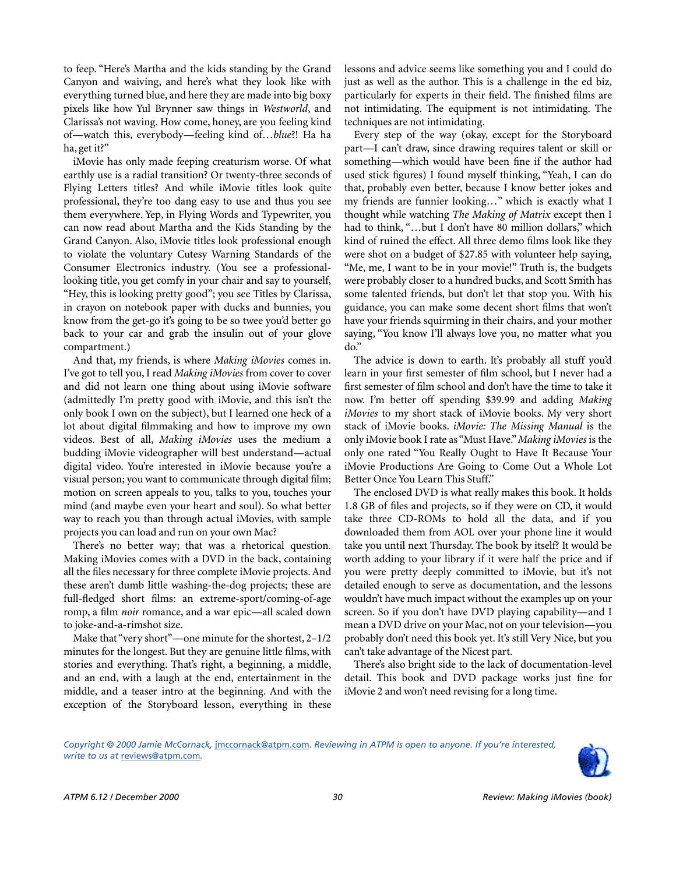to feep. "Here's Martha and the kids standing by the Grand Canyon and waiving, and here's what they look like with everything turned blue, and here they are made into big boxy pixels like how Yul Brynner saw things in *Westworld*, and Clarissa's not waving. How come, honey, are you feeling kind of—watch this, everybody—feeling kind of…*blue*?! Ha ha ha, get it?"

iMovie has only made feeping creaturism worse. Of what earthly use is a radial transition? Or twenty-three seconds of Flying Letters titles? And while iMovie titles look quite professional, they're too dang easy to use and thus you see them everywhere. Yep, in Flying Words and Typewriter, you can now read about Martha and the Kids Standing by the Grand Canyon. Also, iMovie titles look professional enough to violate the voluntary Cutesy Warning Standards of the Consumer Electronics industry. (You see a professionallooking title, you get comfy in your chair and say to yourself, "Hey, this is looking pretty good"; you see Titles by Clarissa, in crayon on notebook paper with ducks and bunnies, you know from the get-go it's going to be so twee you'd better go back to your car and grab the insulin out of your glove compartment.)

And that, my friends, is where *Making iMovies* comes in. I've got to tell you, I read *Making iMovies* from cover to cover and did not learn one thing about using iMovie software (admittedly I'm pretty good with iMovie, and this isn't the only book I own on the subject), but I learned one heck of a lot about digital filmmaking and how to improve my own videos. Best of all, *Making iMovies* uses the medium a budding iMovie videographer will best understand—actual digital video. You're interested in iMovie because you're a visual person; you want to communicate through digital film; motion on screen appeals to you, talks to you, touches your mind (and maybe even your heart and soul). So what better way to reach you than through actual iMovies, with sample projects you can load and run on your own Mac?

There's no better way; that was a rhetorical question. Making iMovies comes with a DVD in the back, containing all the files necessary for three complete iMovie projects. And these aren't dumb little washing-the-dog projects; these are full-fledged short films: an extreme-sport/coming-of-age romp, a film *noir* romance, and a war epic—all scaled down to joke-and-a-rimshot size.

Make that "very short"—one minute for the shortest, 2–1/2 minutes for the longest. But they are genuine little films, with stories and everything. That's right, a beginning, a middle, and an end, with a laugh at the end, entertainment in the middle, and a teaser intro at the beginning. And with the exception of the Storyboard lesson, everything in these lessons and advice seems like something you and I could do just as well as the author. This is a challenge in the ed biz, particularly for experts in their field. The finished films are not intimidating. The equipment is not intimidating. The techniques are not intimidating.

Every step of the way (okay, except for the Storyboard part—I can't draw, since drawing requires talent or skill or something—which would have been fine if the author had used stick figures) I found myself thinking, "Yeah, I can do that, probably even better, because I know better jokes and my friends are funnier looking…" which is exactly what I thought while watching *The Making of Matrix* except then I had to think, "...but I don't have 80 million dollars," which kind of ruined the effect. All three demo films look like they were shot on a budget of \$27.85 with volunteer help saying, "Me, me, I want to be in your movie!" Truth is, the budgets were probably closer to a hundred bucks, and Scott Smith has some talented friends, but don't let that stop you. With his guidance, you can make some decent short films that won't have your friends squirming in their chairs, and your mother saying, "You know I'll always love you, no matter what you do."

The advice is down to earth. It's probably all stuff you'd learn in your first semester of film school, but I never had a first semester of film school and don't have the time to take it now. I'm better off spending \$39.99 and adding *Making iMovies* to my short stack of iMovie books. My very short stack of iMovie books. *iMovie: The Missing Manual* is the only iMovie book I rate as "Must Have." *Making iMovies* is the only one rated "You Really Ought to Have It Because Your iMovie Productions Are Going to Come Out a Whole Lot Better Once You Learn This Stuff."

The enclosed DVD is what really makes this book. It holds 1.8 GB of files and projects, so if they were on CD, it would take three CD-ROMs to hold all the data, and if you downloaded them from AOL over your phone line it would take you until next Thursday. The book by itself? It would be worth adding to your library if it were half the price and if you were pretty deeply committed to iMovie, but it's not detailed enough to serve as documentation, and the lessons wouldn't have much impact without the examples up on your screen. So if you don't have DVD playing capability—and I mean a DVD drive on your Mac, not on your television—you probably don't need this book yet. It's still Very Nice, but you can't take advantage of the Nicest part.

There's also bright side to the lack of documentation-level detail. This book and DVD package works just fine for iMovie 2 and won't need revising for a long time.

*Copyright © 2000 Jamie McCornack,* [jmccornack@atpm.com](mailto:jmccornack@atpm.com)*. Reviewing in ATPM is open to anyone. If you're interested, write to us at* [reviews@atpm.com](mailto:reviews@atpm.com)*.*

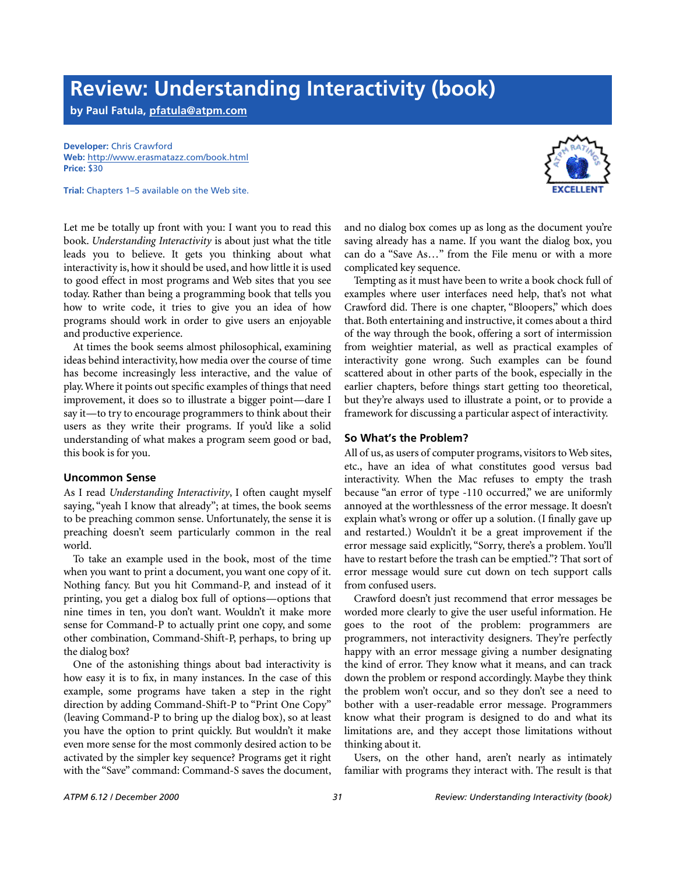## **Review: Understanding Interactivity (book)**

**by Paul Fatula, [pfatula@atpm.com](mailto:pfatula@atpm.com)**

**Developer:** Chris Crawford **Web:** <http://www.erasmatazz.com/book.html> **Price:** \$30

**Trial:** Chapters 1–5 available on the Web site.

Let me be totally up front with you: I want you to read this book. *Understanding Interactivity* is about just what the title leads you to believe. It gets you thinking about what interactivity is, how it should be used, and how little it is used to good effect in most programs and Web sites that you see today. Rather than being a programming book that tells you how to write code, it tries to give you an idea of how programs should work in order to give users an enjoyable and productive experience.

At times the book seems almost philosophical, examining ideas behind interactivity, how media over the course of time has become increasingly less interactive, and the value of play. Where it points out specific examples of things that need improvement, it does so to illustrate a bigger point—dare I say it—to try to encourage programmers to think about their users as they write their programs. If you'd like a solid understanding of what makes a program seem good or bad, this book is for you.

#### **Uncommon Sense**

As I read *Understanding Interactivity*, I often caught myself saying, "yeah I know that already"; at times, the book seems to be preaching common sense. Unfortunately, the sense it is preaching doesn't seem particularly common in the real world.

To take an example used in the book, most of the time when you want to print a document, you want one copy of it. Nothing fancy. But you hit Command-P, and instead of it printing, you get a dialog box full of options—options that nine times in ten, you don't want. Wouldn't it make more sense for Command-P to actually print one copy, and some other combination, Command-Shift-P, perhaps, to bring up the dialog box?

One of the astonishing things about bad interactivity is how easy it is to fix, in many instances. In the case of this example, some programs have taken a step in the right direction by adding Command-Shift-P to "Print One Copy" (leaving Command-P to bring up the dialog box), so at least you have the option to print quickly. But wouldn't it make even more sense for the most commonly desired action to be activated by the simpler key sequence? Programs get it right with the "Save" command: Command-S saves the document, and no dialog box comes up as long as the document you're saving already has a name. If you want the dialog box, you can do a "Save As…" from the File menu or with a more complicated key sequence.

Tempting as it must have been to write a book chock full of examples where user interfaces need help, that's not what Crawford did. There is one chapter, "Bloopers," which does that. Both entertaining and instructive, it comes about a third of the way through the book, offering a sort of intermission from weightier material, as well as practical examples of interactivity gone wrong. Such examples can be found scattered about in other parts of the book, especially in the earlier chapters, before things start getting too theoretical, but they're always used to illustrate a point, or to provide a framework for discussing a particular aspect of interactivity.

#### **So What's the Problem?**

All of us, as users of computer programs, visitors to Web sites, etc., have an idea of what constitutes good versus bad interactivity. When the Mac refuses to empty the trash because "an error of type -110 occurred," we are uniformly annoyed at the worthlessness of the error message. It doesn't explain what's wrong or offer up a solution. (I finally gave up and restarted.) Wouldn't it be a great improvement if the error message said explicitly, "Sorry, there's a problem. You'll have to restart before the trash can be emptied."? That sort of error message would sure cut down on tech support calls from confused users.

Crawford doesn't just recommend that error messages be worded more clearly to give the user useful information. He goes to the root of the problem: programmers are programmers, not interactivity designers. They're perfectly happy with an error message giving a number designating the kind of error. They know what it means, and can track down the problem or respond accordingly. Maybe they think the problem won't occur, and so they don't see a need to bother with a user-readable error message. Programmers know what their program is designed to do and what its limitations are, and they accept those limitations without thinking about it.

Users, on the other hand, aren't nearly as intimately familiar with programs they interact with. The result is that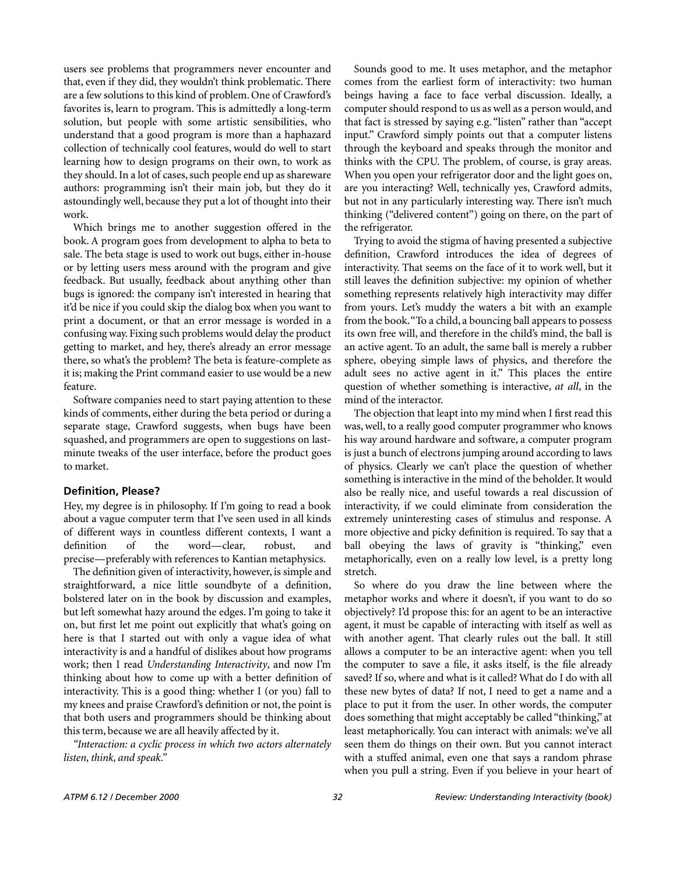users see problems that programmers never encounter and that, even if they did, they wouldn't think problematic. There are a few solutions to this kind of problem. One of Crawford's favorites is, learn to program. This is admittedly a long-term solution, but people with some artistic sensibilities, who understand that a good program is more than a haphazard collection of technically cool features, would do well to start learning how to design programs on their own, to work as they should. In a lot of cases, such people end up as shareware authors: programming isn't their main job, but they do it astoundingly well, because they put a lot of thought into their work.

Which brings me to another suggestion offered in the book. A program goes from development to alpha to beta to sale. The beta stage is used to work out bugs, either in-house or by letting users mess around with the program and give feedback. But usually, feedback about anything other than bugs is ignored: the company isn't interested in hearing that it'd be nice if you could skip the dialog box when you want to print a document, or that an error message is worded in a confusing way. Fixing such problems would delay the product getting to market, and hey, there's already an error message there, so what's the problem? The beta is feature-complete as it is; making the Print command easier to use would be a new feature.

Software companies need to start paying attention to these kinds of comments, either during the beta period or during a separate stage, Crawford suggests, when bugs have been squashed, and programmers are open to suggestions on lastminute tweaks of the user interface, before the product goes to market.

#### **Definition, Please?**

Hey, my degree is in philosophy. If I'm going to read a book about a vague computer term that I've seen used in all kinds of different ways in countless different contexts, I want a definition of the word—clear, robust, and precise—preferably with references to Kantian metaphysics.

The definition given of interactivity, however, is simple and straightforward, a nice little soundbyte of a definition, bolstered later on in the book by discussion and examples, but left somewhat hazy around the edges. I'm going to take it on, but first let me point out explicitly that what's going on here is that I started out with only a vague idea of what interactivity is and a handful of dislikes about how programs work; then I read *Understanding Interactivity*, and now I'm thinking about how to come up with a better definition of interactivity. This is a good thing: whether I (or you) fall to my knees and praise Crawford's definition or not, the point is that both users and programmers should be thinking about this term, because we are all heavily affected by it.

*"Interaction: a cyclic process in which two actors alternately listen, think, and speak."*

Sounds good to me. It uses metaphor, and the metaphor comes from the earliest form of interactivity: two human beings having a face to face verbal discussion. Ideally, a computer should respond to us as well as a person would, and that fact is stressed by saying e.g. "listen" rather than "accept input." Crawford simply points out that a computer listens through the keyboard and speaks through the monitor and thinks with the CPU. The problem, of course, is gray areas. When you open your refrigerator door and the light goes on, are you interacting? Well, technically yes, Crawford admits, but not in any particularly interesting way. There isn't much thinking ("delivered content") going on there, on the part of the refrigerator.

Trying to avoid the stigma of having presented a subjective definition, Crawford introduces the idea of degrees of interactivity. That seems on the face of it to work well, but it still leaves the definition subjective: my opinion of whether something represents relatively high interactivity may differ from yours. Let's muddy the waters a bit with an example from the book. "To a child, a bouncing ball appears to possess its own free will, and therefore in the child's mind, the ball is an active agent. To an adult, the same ball is merely a rubber sphere, obeying simple laws of physics, and therefore the adult sees no active agent in it." This places the entire question of whether something is interactive, *at all*, in the mind of the interactor.

The objection that leapt into my mind when I first read this was, well, to a really good computer programmer who knows his way around hardware and software, a computer program is just a bunch of electrons jumping around according to laws of physics. Clearly we can't place the question of whether something is interactive in the mind of the beholder. It would also be really nice, and useful towards a real discussion of interactivity, if we could eliminate from consideration the extremely uninteresting cases of stimulus and response. A more objective and picky definition is required. To say that a ball obeying the laws of gravity is "thinking," even metaphorically, even on a really low level, is a pretty long stretch.

So where do you draw the line between where the metaphor works and where it doesn't, if you want to do so objectively? I'd propose this: for an agent to be an interactive agent, it must be capable of interacting with itself as well as with another agent. That clearly rules out the ball. It still allows a computer to be an interactive agent: when you tell the computer to save a file, it asks itself, is the file already saved? If so, where and what is it called? What do I do with all these new bytes of data? If not, I need to get a name and a place to put it from the user. In other words, the computer does something that might acceptably be called "thinking," at least metaphorically. You can interact with animals: we've all seen them do things on their own. But you cannot interact with a stuffed animal, even one that says a random phrase when you pull a string. Even if you believe in your heart of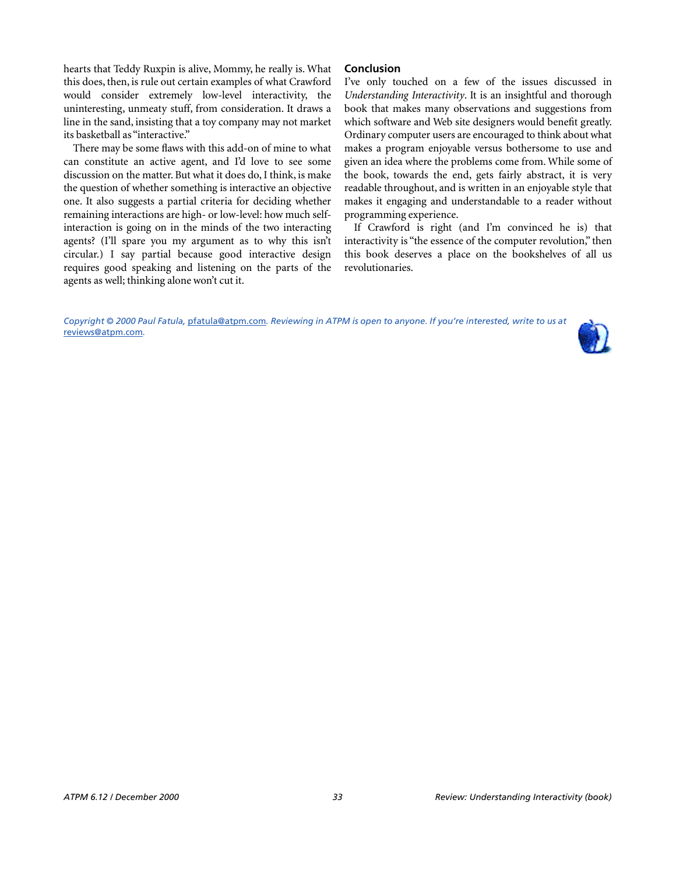hearts that Teddy Ruxpin is alive, Mommy, he really is. What this does, then, is rule out certain examples of what Crawford would consider extremely low-level interactivity, the uninteresting, unmeaty stuff, from consideration. It draws a line in the sand, insisting that a toy company may not market its basketball as "interactive."

There may be some flaws with this add-on of mine to what can constitute an active agent, and I'd love to see some discussion on the matter. But what it does do, I think, is make the question of whether something is interactive an objective one. It also suggests a partial criteria for deciding whether remaining interactions are high- or low-level: how much selfinteraction is going on in the minds of the two interacting agents? (I'll spare you my argument as to why this isn't circular.) I say partial because good interactive design requires good speaking and listening on the parts of the agents as well; thinking alone won't cut it.

#### **Conclusion**

I've only touched on a few of the issues discussed in *Understanding Interactivity*. It is an insightful and thorough book that makes many observations and suggestions from which software and Web site designers would benefit greatly. Ordinary computer users are encouraged to think about what makes a program enjoyable versus bothersome to use and given an idea where the problems come from. While some of the book, towards the end, gets fairly abstract, it is very readable throughout, and is written in an enjoyable style that makes it engaging and understandable to a reader without programming experience.

If Crawford is right (and I'm convinced he is) that interactivity is "the essence of the computer revolution," then this book deserves a place on the bookshelves of all us revolutionaries.

*Copyright © 2000 Paul Fatula,* [pfatula@atpm.com](mailto:pfatula@atpm.com)*. Reviewing in ATPM is open to anyone. If you're interested, write to us at*  [reviews@atpm.com](mailto:reviews@atpm.com)*.*

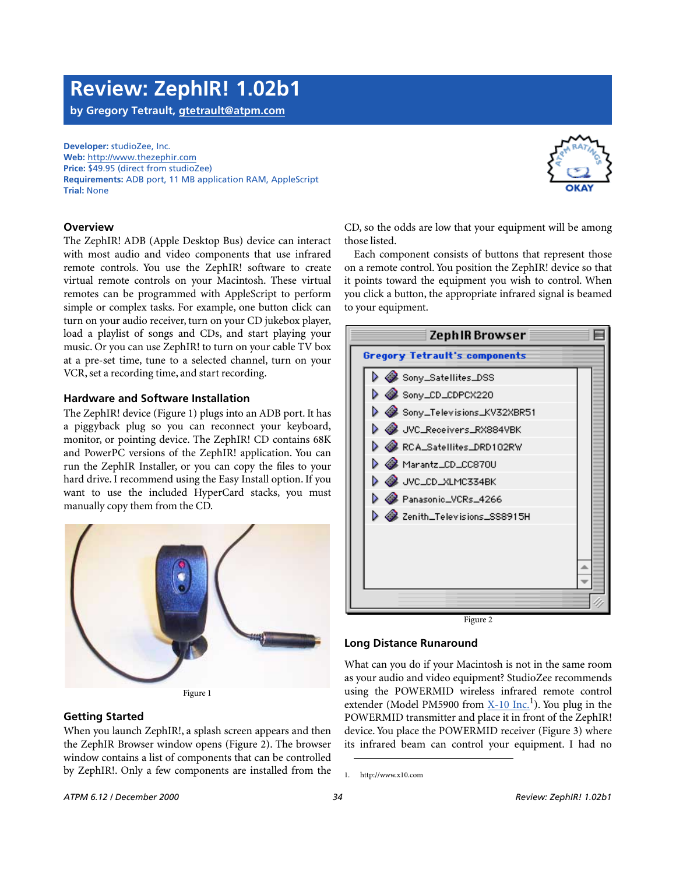# **Review: ZephIR! 1.02b1**

**by Gregory Tetrault, [gtetrault@atpm.com](mailto:gtetrault@atpm.com)**

**Developer:** studioZee, Inc. **Web:** <http://www.thezephir.com> **Price:** \$49.95 (direct from studioZee) **Requirements:** ADB port, 11 MB application RAM, AppleScript **Trial:** None



The ZephIR! ADB (Apple Desktop Bus) device can interact with most audio and video components that use infrared remote controls. You use the ZephIR! software to create virtual remote controls on your Macintosh. These virtual remotes can be programmed with AppleScript to perform simple or complex tasks. For example, one button click can turn on your audio receiver, turn on your CD jukebox player, load a playlist of songs and CDs, and start playing your music. Or you can use ZephIR! to turn on your cable TV box at a pre-set time, tune to a selected channel, turn on your VCR, set a recording time, and start recording.

#### **Hardware and Software Installation**

The ZephIR! device (Figure 1) plugs into an ADB port. It has a piggyback plug so you can reconnect your keyboard, monitor, or pointing device. The ZephIR! CD contains 68K and PowerPC versions of the ZephIR! application. You can run the ZephIR Installer, or you can copy the files to your hard drive. I recommend using the Easy Install option. If you want to use the included HyperCard stacks, you must manually copy them from the CD.



Figure 1

#### **Getting Started**

When you launch ZephIR!, a splash screen appears and then the ZephIR Browser window opens (Figure 2). The browser window contains a list of components that can be controlled by ZephIR!. Only a few components are installed from the

CD, so the odds are low that your equipment will be among those listed.

Each component consists of buttons that represent those on a remote control. You position the ZephIR! device so that it points toward the equipment you wish to control. When you click a button, the appropriate infrared signal is beamed to your equipment.



Figure 2

#### **Long Distance Runaround**

What can you do if your Macintosh is not in the same room as your audio and video equipment? StudioZee recommends using the POWERMID wireless infrared remote control extender (Model PM5900 from [X-10 Inc.](http://www.x10.com)<sup>1</sup>). You plug in the POWERMID transmitter and place it in front of the ZephIR! device. You place the POWERMID receiver (Figure 3) where its infrared beam can control your equipment. I had no

<sup>1.</sup> http://www.x10.com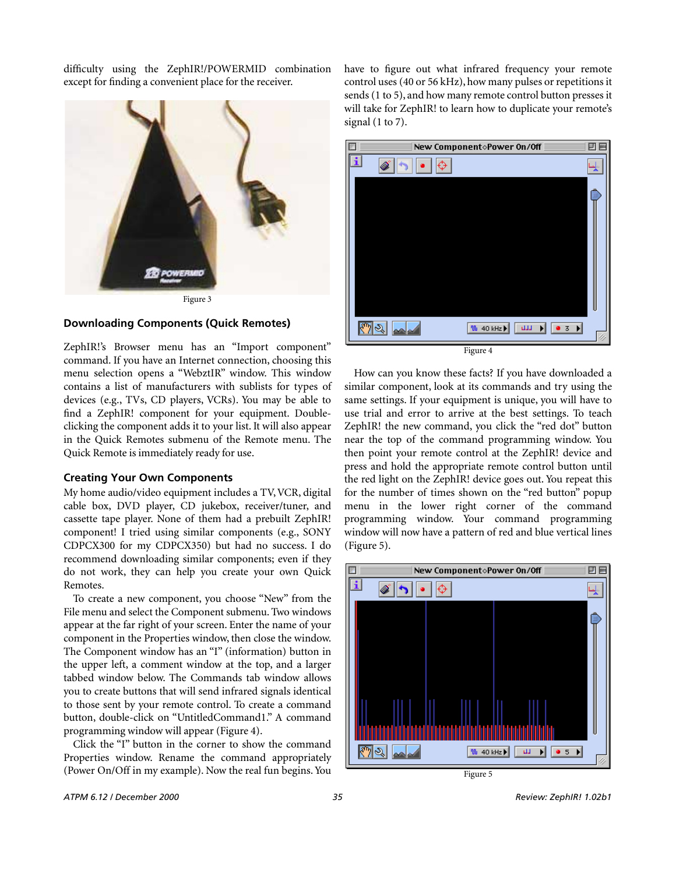difficulty using the ZephIR!/POWERMID combination except for finding a convenient place for the receiver.





#### **Downloading Components (Quick Remotes)**

ZephIR!'s Browser menu has an "Import component" command. If you have an Internet connection, choosing this menu selection opens a "WebztIR" window. This window contains a list of manufacturers with sublists for types of devices (e.g., TVs, CD players, VCRs). You may be able to find a ZephIR! component for your equipment. Doubleclicking the component adds it to your list. It will also appear in the Quick Remotes submenu of the Remote menu. The Quick Remote is immediately ready for use.

#### **Creating Your Own Components**

My home audio/video equipment includes a TV, VCR, digital cable box, DVD player, CD jukebox, receiver/tuner, and cassette tape player. None of them had a prebuilt ZephIR! component! I tried using similar components (e.g., SONY CDPCX300 for my CDPCX350) but had no success. I do recommend downloading similar components; even if they do not work, they can help you create your own Quick Remotes.

To create a new component, you choose "New" from the File menu and select the Component submenu. Two windows appear at the far right of your screen. Enter the name of your component in the Properties window, then close the window. The Component window has an "I" (information) button in the upper left, a comment window at the top, and a larger tabbed window below. The Commands tab window allows you to create buttons that will send infrared signals identical to those sent by your remote control. To create a command button, double-click on "UntitledCommand1." A command programming window will appear (Figure 4).

Click the "I" button in the corner to show the command Properties window. Rename the command appropriately (Power On/Off in my example). Now the real fun begins. You have to figure out what infrared frequency your remote control uses (40 or 56 kHz), how many pulses or repetitions it sends (1 to 5), and how many remote control button presses it will take for ZephIR! to learn how to duplicate your remote's signal (1 to 7).



How can you know these facts? If you have downloaded a similar component, look at its commands and try using the same settings. If your equipment is unique, you will have to use trial and error to arrive at the best settings. To teach ZephIR! the new command, you click the "red dot" button near the top of the command programming window. You then point your remote control at the ZephIR! device and press and hold the appropriate remote control button until the red light on the ZephIR! device goes out. You repeat this for the number of times shown on the "red button" popup menu in the lower right corner of the command programming window. Your command programming window will now have a pattern of red and blue vertical lines (Figure 5).

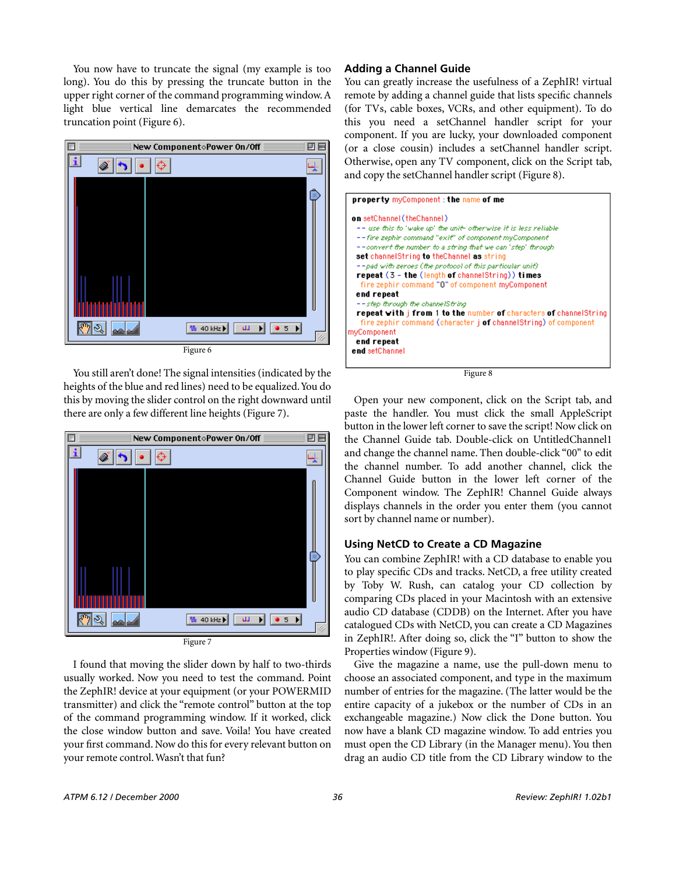You now have to truncate the signal (my example is too long). You do this by pressing the truncate button in the upper right corner of the command programming window. A light blue vertical line demarcates the recommended truncation point (Figure 6).



You still aren't done! The signal intensities (indicated by the heights of the blue and red lines) need to be equalized. You do this by moving the slider control on the right downward until there are only a few different line heights (Figure 7).



I found that moving the slider down by half to two-thirds usually worked. Now you need to test the command. Point the ZephIR! device at your equipment (or your POWERMID transmitter) and click the "remote control" button at the top of the command programming window. If it worked, click the close window button and save. Voila! You have created your first command. Now do this for every relevant button on your remote control. Wasn't that fun?

#### **Adding a Channel Guide**

You can greatly increase the usefulness of a ZephIR! virtual remote by adding a channel guide that lists specific channels (for TVs, cable boxes, VCRs, and other equipment). To do this you need a setChannel handler script for your component. If you are lucky, your downloaded component (or a close cousin) includes a setChannel handler script. Otherwise, open any TV component, click on the Script tab, and copy the setChannel handler script (Figure 8).



Figure 8

Open your new component, click on the Script tab, and paste the handler. You must click the small AppleScript button in the lower left corner to save the script! Now click on the Channel Guide tab. Double-click on UntitledChannel1 and change the channel name. Then double-click "00" to edit the channel number. To add another channel, click the Channel Guide button in the lower left corner of the Component window. The ZephIR! Channel Guide always displays channels in the order you enter them (you cannot sort by channel name or number).

#### **Using NetCD to Create a CD Magazine**

You can combine ZephIR! with a CD database to enable you to play specific CDs and tracks. NetCD, a free utility created by Toby W. Rush, can catalog your CD collection by comparing CDs placed in your Macintosh with an extensive audio CD database (CDDB) on the Internet. After you have catalogued CDs with NetCD, you can create a CD Magazines in ZephIR!. After doing so, click the "I" button to show the Properties window (Figure 9).

Give the magazine a name, use the pull-down menu to choose an associated component, and type in the maximum number of entries for the magazine. (The latter would be the entire capacity of a jukebox or the number of CDs in an exchangeable magazine.) Now click the Done button. You now have a blank CD magazine window. To add entries you must open the CD Library (in the Manager menu). You then drag an audio CD title from the CD Library window to the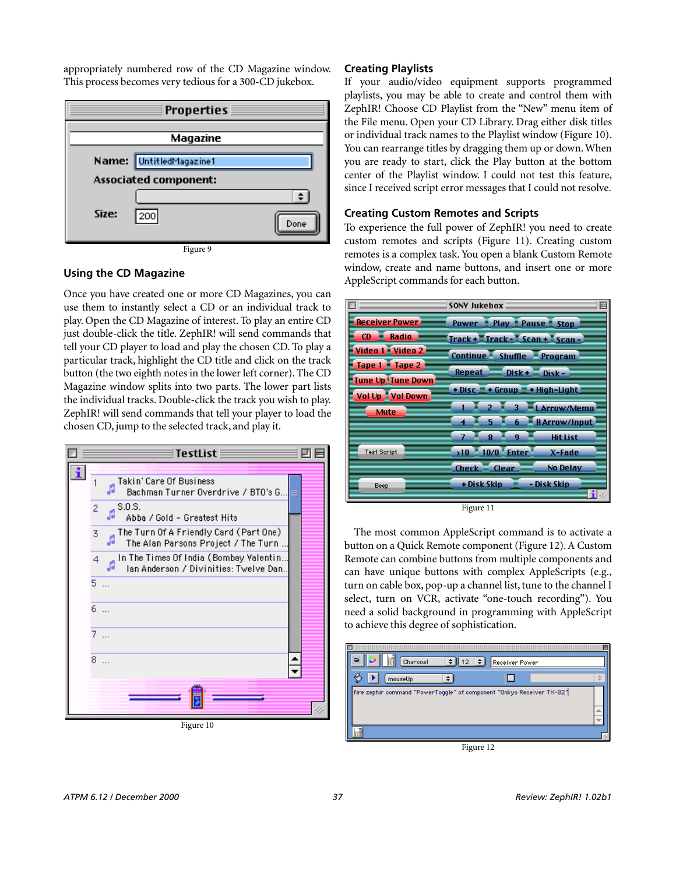appropriately numbered row of the CD Magazine window. This process becomes very tedious for a 300-CD jukebox.



Figure 9

#### **Using the CD Magazine**

Once you have created one or more CD Magazines, you can use them to instantly select a CD or an individual track to play. Open the CD Magazine of interest. To play an entire CD just double-click the title. ZephIR! will send commands that tell your CD player to load and play the chosen CD. To play a particular track, highlight the CD title and click on the track button (the two eighth notes in the lower left corner). The CD Magazine window splits into two parts. The lower part lists the individual tracks. Double-click the track you wish to play. ZephIR! will send commands that tell your player to load the chosen CD, jump to the selected track, and play it.



**Creating Playlists**

If your audio/video equipment supports programmed playlists, you may be able to create and control them with ZephIR! Choose CD Playlist from the "New" menu item of the File menu. Open your CD Library. Drag either disk titles or individual track names to the Playlist window (Figure 10). You can rearrange titles by dragging them up or down. When you are ready to start, click the Play button at the bottom center of the Playlist window. I could not test this feature, since I received script error messages that I could not resolve.

#### **Creating Custom Remotes and Scripts**

To experience the full power of ZephIR! you need to create custom remotes and scripts (Figure 11). Creating custom remotes is a complex task. You open a blank Custom Remote window, create and name buttons, and insert one or more AppleScript commands for each button.



Figure 11

The most common AppleScript command is to activate a button on a Quick Remote component (Figure 12). A Custom Remote can combine buttons from multiple components and can have unique buttons with complex AppleScripts (e.g., turn on cable box, pop-up a channel list, tune to the channel I select, turn on VCR, activate "one-touch recording"). You need a solid background in programming with AppleScript to achieve this degree of sophistication.



Figure 12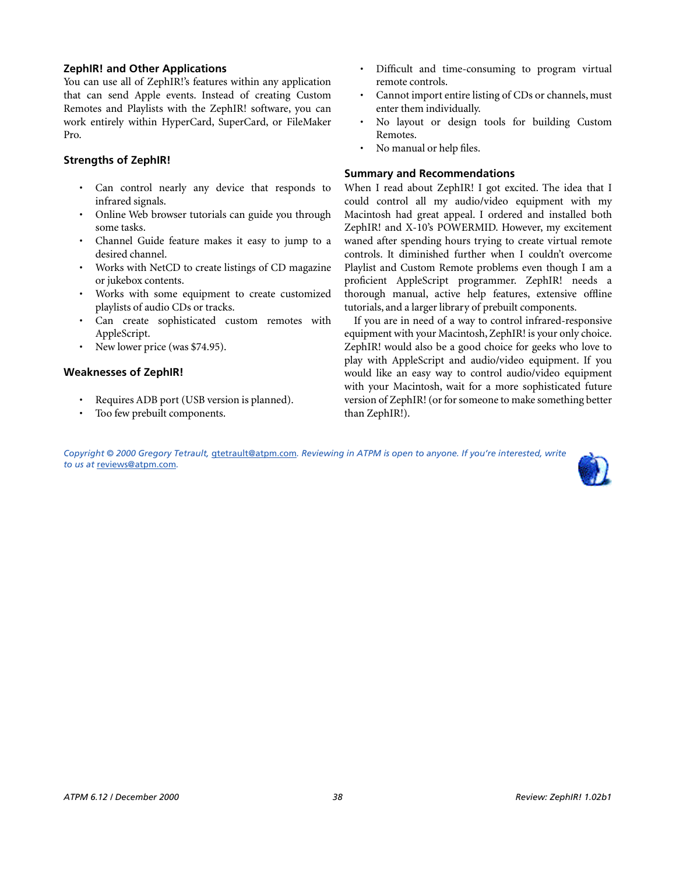#### **ZephIR! and Other Applications**

You can use all of ZephIR!'s features within any application that can send Apple events. Instead of creating Custom Remotes and Playlists with the ZephIR! software, you can work entirely within HyperCard, SuperCard, or FileMaker Pro.

#### **Strengths of ZephIR!**

- Can control nearly any device that responds to infrared signals.
- Online Web browser tutorials can guide you through some tasks.
- Channel Guide feature makes it easy to jump to a desired channel.
- Works with NetCD to create listings of CD magazine or jukebox contents.
- Works with some equipment to create customized playlists of audio CDs or tracks.
- Can create sophisticated custom remotes with AppleScript.
- New lower price (was \$74.95).

#### **Weaknesses of ZephIR!**

- Requires ADB port (USB version is planned).
- Too few prebuilt components.
- Difficult and time-consuming to program virtual remote controls.
- Cannot import entire listing of CDs or channels, must enter them individually.
- No layout or design tools for building Custom Remotes.
- No manual or help files.

#### **Summary and Recommendations**

When I read about ZephIR! I got excited. The idea that I could control all my audio/video equipment with my Macintosh had great appeal. I ordered and installed both ZephIR! and X-10's POWERMID. However, my excitement waned after spending hours trying to create virtual remote controls. It diminished further when I couldn't overcome Playlist and Custom Remote problems even though I am a proficient AppleScript programmer. ZephIR! needs a thorough manual, active help features, extensive offline tutorials, and a larger library of prebuilt components.

If you are in need of a way to control infrared-responsive equipment with your Macintosh, ZephIR! is your only choice. ZephIR! would also be a good choice for geeks who love to play with AppleScript and audio/video equipment. If you would like an easy way to control audio/video equipment with your Macintosh, wait for a more sophisticated future version of ZephIR! (or for someone to make something better than ZephIR!).

*Copyright © 2000 Gregory Tetrault,* [gtetrault@atpm.com](mailto:gtetrault@atpm.com)*. Reviewing in ATPM is open to anyone. If you're interested, write to us at* [reviews@atpm.com](mailto:reviews@atpm.com)*.*

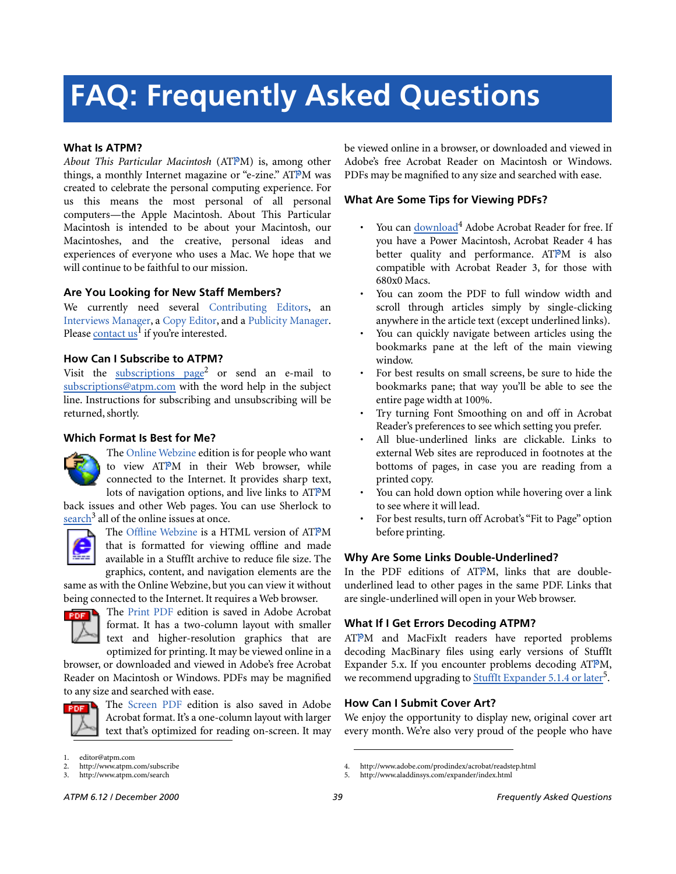# **FAQ: Frequently Asked Questions**

#### **What Is ATPM?**

*About This Particular Macintosh* (ATPM) is, among other things, a monthly Internet magazine or "e-zine." ATPM was created to celebrate the personal computing experience. For us this means the most personal of all personal computers—the Apple Macintosh. About This Particular Macintosh is intended to be about your Macintosh, our Macintoshes, and the creative, personal ideas and experiences of everyone who uses a Mac. We hope that we will continue to be faithful to our mission.

#### **Are You Looking for New Staff Members?**

We currently need several Contributing Editors, an Interviews Manager, a Copy Editor, and a Publicity Manager. Please [contact us](mailto:editor@atpm.com)<sup>1</sup> if you're interested.

#### **How Can I Subscribe to ATPM?**

Visit the [subscriptions page](http://www.atpm.com/subscribe)<sup>2</sup> or send an e-mail to [subscriptions@atpm.com](mailto:subscriptions@atpm.com) with the word help in the subject line. Instructions for subscribing and unsubscribing will be returned, shortly.

#### **Which Format Is Best for Me?**



The Online Webzine edition is for people who want to view ATPM in their Web browser, while connected to the Internet. It provides sharp text, lots of navigation options, and live links to ATPM

back issues and other Web pages. You can use Sherlock to  $\frac{\text{search}^3}{\text{all}}$  $\frac{\text{search}^3}{\text{all}}$  $\frac{\text{search}^3}{\text{all}}$  all of the online issues at once.



The Offline Webzine is a HTML version of ATPM that is formatted for viewing offline and made available in a StuffIt archive to reduce file size. The graphics, content, and navigation elements are the

same as with the Online Webzine, but you can view it without being connected to the Internet. It requires a Web browser.



The Print PDF edition is saved in Adobe Acrobat format. It has a two-column layout with smaller text and higher-resolution graphics that are optimized for printing. It may be viewed online in a

browser, or downloaded and viewed in Adobe's free Acrobat Reader on Macintosh or Windows. PDFs may be magnified to any size and searched with ease.



The Screen PDF edition is also saved in Adobe Acrobat format. It's a one-column layout with larger text that's optimized for reading on-screen. It may be viewed online in a browser, or downloaded and viewed in Adobe's free Acrobat Reader on Macintosh or Windows. PDFs may be magnified to any size and searched with ease.

#### **What Are Some Tips for Viewing PDFs?**

- You can [download](http://www.adobe.com/prodindex/acrobat/readstep.html)<sup>4</sup> Adobe Acrobat Reader for free. If you have a Power Macintosh, Acrobat Reader 4 has better quality and performance. ATPM is also compatible with Acrobat Reader 3, for those with 680x0 Macs.
- You can zoom the PDF to full window width and scroll through articles simply by single-clicking anywhere in the article text (except underlined links).
- You can quickly navigate between articles using the bookmarks pane at the left of the main viewing window.
- For best results on small screens, be sure to hide the bookmarks pane; that way you'll be able to see the entire page width at 100%.
- Try turning Font Smoothing on and off in Acrobat Reader's preferences to see which setting you prefer.
- All blue-underlined links are clickable. Links to external Web sites are reproduced in footnotes at the bottoms of pages, in case you are reading from a printed copy.
- You can hold down option while hovering over a link to see where it will lead.
- For best results, turn off Acrobat's "Fit to Page" option before printing.

#### **Why Are Some Links Double-Underlined?**

In the PDF editions of ATPM, links that are doubleunderlined lead to other pages in the same PDF. Links that are single-underlined will open in your Web browser.

#### **What If I Get Errors Decoding ATPM?**

ATPM and MacFixIt readers have reported problems decoding MacBinary files using early versions of StuffIt Expander 5.x. If you encounter problems decoding ATPM, we recommend upgrading to **StuffIt Expander 5.1.4** or later<sup>5</sup>.

#### **How Can I Submit Cover Art?**

We enjoy the opportunity to display new, original cover art every month. We're also very proud of the people who have

http://www.atpm.com/search

editor@atpm.com

<sup>2.</sup> http://www.atpm.com/subscribe<br>3. http://www.atpm.com/search

<sup>4.</sup> http://www.adobe.com/prodindex/acrobat/readstep.html

<sup>5.</sup> http://www.aladdinsys.com/expander/index.html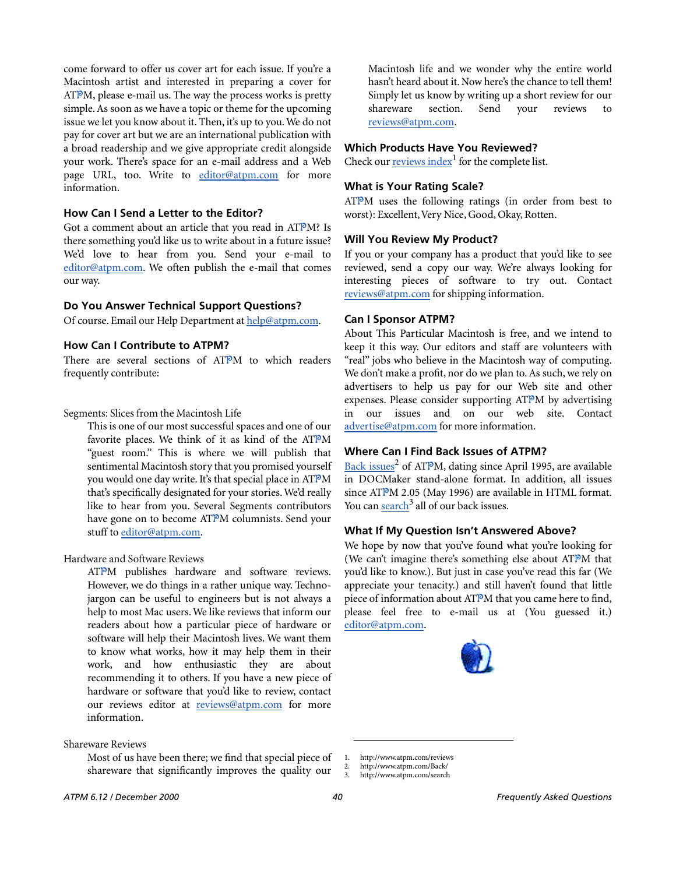come forward to offer us cover art for each issue. If you're a Macintosh artist and interested in preparing a cover for  $ATPM$ , please e-mail us. The way the process works is pretty simple. As soon as we have a topic or theme for the upcoming issue we let you know about it. Then, it's up to you. We do not pay for cover art but we are an international publication with a broad readership and we give appropriate credit alongside your work. There's space for an e-mail address and a Web page URL, too. Write to [editor@atpm.com](mailto:editor@atpm.com) for more information.

#### **How Can I Send a Letter to the Editor?**

Got a comment about an article that you read in ATPM? Is there something you'd like us to write about in a future issue? We'd love to hear from you. Send your e-mail to [editor@atpm.com](mailto:editor@atpm.com). We often publish the e-mail that comes our way.

#### **Do You Answer Technical Support Questions?**

Of course. Email our Help Department at [help@atpm.com.](mailto:help@atpm.com)

#### **How Can I Contribute to ATPM?**

There are several sections of ATPM to which readers frequently contribute:

Segments: Slices from the Macintosh Life

This is one of our most successful spaces and one of our favorite places. We think of it as kind of the ATPM "guest room." This is where we will publish that sentimental Macintosh story that you promised yourself you would one day write. It's that special place in ATPM that's specifically designated for your stories. We'd really like to hear from you. Several Segments contributors have gone on to become ATPM columnists. Send your stuff to [editor@atpm.com](mailto:editor@atpm.com).

Hardware and Software Reviews

ATPM publishes hardware and software reviews. However, we do things in a rather unique way. Technojargon can be useful to engineers but is not always a help to most Mac users. We like reviews that inform our readers about how a particular piece of hardware or software will help their Macintosh lives. We want them to know what works, how it may help them in their work, and how enthusiastic they are about recommending it to others. If you have a new piece of hardware or software that you'd like to review, contact our reviews editor at [reviews@atpm.com](mailto:reviews@atpm.com) for more information.

#### Shareware Reviews

Most of us have been there; we find that special piece of shareware that significantly improves the quality our

Macintosh life and we wonder why the entire world hasn't heard about it. Now here's the chance to tell them! Simply let us know by writing up a short review for our shareware section. Send your reviews to [reviews@atpm.com](mailto:reviews@atpm.com).

#### **Which Products Have You Reviewed?**

Check our **reviews** index<sup>1</sup> for the complete list.

#### **What is Your Rating Scale?**

ATPM uses the following ratings (in order from best to worst): Excellent, Very Nice, Good, Okay, Rotten.

#### **Will You Review My Product?**

If you or your company has a product that you'd like to see reviewed, send a copy our way. We're always looking for interesting pieces of software to try out. Contact [reviews@atpm.com](mailto:reviews@atpm.com) for shipping information.

#### **Can I Sponsor ATPM?**

About This Particular Macintosh is free, and we intend to keep it this way. Our editors and staff are volunteers with "real" jobs who believe in the Macintosh way of computing. We don't make a profit, nor do we plan to. As such, we rely on advertisers to help us pay for our Web site and other expenses. Please consider supporting ATPM by advertising our issues and on our web site. Contact <advertise@atpm.com>for more information.

#### **Where Can I Find Back Issues of ATPM?**

[Back issues](http://www.atpm.com/Back/)<sup>2</sup> of ATPM, dating since April 1995, are available in DOCMaker stand-alone format. In addition, all issues since ATPM 2.05 (May 1996) are available in HTML format. You can [search](http://www.atpm.com/search)<sup>3</sup> all of our back issues.

#### **What If My Question Isn't Answered Above?**

We hope by now that you've found what you're looking for (We can't imagine there's something else about ATPM that you'd like to know.). But just in case you've read this far (We appreciate your tenacity.) and still haven't found that little piece of information about ATPM that you came here to find, please feel free to e-mail us at (You guessed it.) [editor@atpm.com.](mailto:editor@atpm.com)



<sup>1.</sup> http://www.atpm.com/reviews

<sup>2.</sup> http://www.atpm.com/Back/<br>3. http://www.atpm.com/search

http://www.atpm.com/search